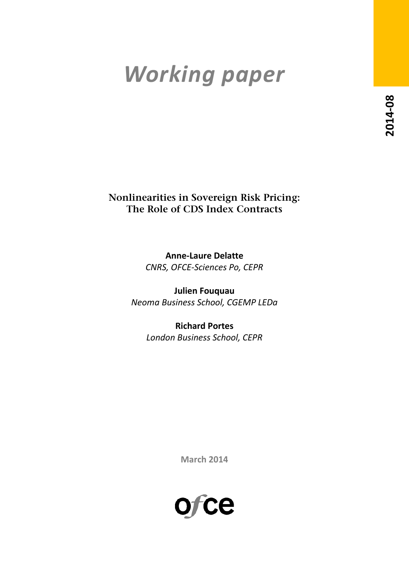# *Working paper*

**Nonlinearities in Sovereign Risk Pricing: The Role of CDS Index Contracts**

> **Anne-Laure Delatte** *CNRS, OFCE-Sciences Po, CEPR*

**Julien Fouquau** *Neoma Business School, CGEMP LEDa*

**Richard Portes** *London Business School, CEPR*

**March 2014**

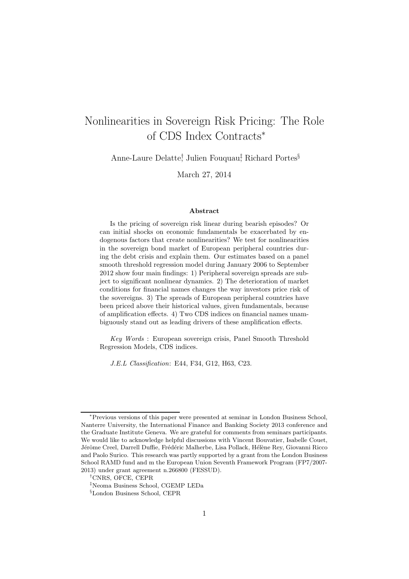# Nonlinearities in Sovereign Risk Pricing: The Role of CDS Index Contracts<sup>∗</sup>

Anne-Laure Delatte<sup>†</sup>, Julien Fouquau<sup>‡</sup>, Richard Portes<sup>§</sup>

March 27, 2014

#### Abstract

Is the pricing of sovereign risk linear during bearish episodes? Or can initial shocks on economic fundamentals be exacerbated by endogenous factors that create nonlinearities? We test for nonlinearities in the sovereign bond market of European peripheral countries during the debt crisis and explain them. Our estimates based on a panel smooth threshold regression model during January 2006 to September 2012 show four main findings: 1) Peripheral sovereign spreads are subject to significant nonlinear dynamics. 2) The deterioration of market conditions for financial names changes the way investors price risk of the sovereigns. 3) The spreads of European peripheral countries have been priced above their historical values, given fundamentals, because of amplification effects. 4) Two CDS indices on financial names unambiguously stand out as leading drivers of these amplification effects.

Key Words : European sovereign crisis, Panel Smooth Threshold Regression Models, CDS indices.

J.E.L Classification: E44, F34, G12, H63, C23.

<sup>∗</sup>Previous versions of this paper were presented at seminar in London Business School, Nanterre University, the International Finance and Banking Society 2013 conference and the Graduate Institute Geneva. We are grateful for comments from seminars participants. We would like to acknowledge helpful discussions with Vincent Bouvatier, Isabelle Couet, Jérôme Creel, Darrell Duffie, Frédéric Malherbe, Lisa Pollack, Hélène Rey, Giovanni Ricco and Paolo Surico. This research was partly supported by a grant from the London Business School RAMD fund and m the European Union Seventh Framework Program (FP7/2007- 2013) under grant agreement n.266800 (FESSUD).

<sup>†</sup>CNRS, OFCE, CEPR

<sup>‡</sup>Neoma Business School, CGEMP LEDa

<sup>§</sup>London Business School, CEPR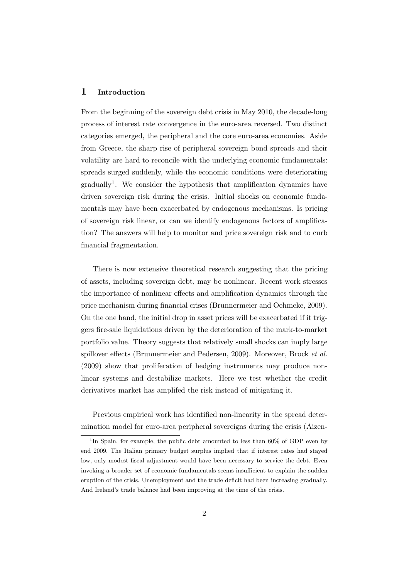#### 1 Introduction

From the beginning of the sovereign debt crisis in May 2010, the decade-long process of interest rate convergence in the euro-area reversed. Two distinct categories emerged, the peripheral and the core euro-area economies. Aside from Greece, the sharp rise of peripheral sovereign bond spreads and their volatility are hard to reconcile with the underlying economic fundamentals: spreads surged suddenly, while the economic conditions were deteriorating gradually<sup>1</sup>. We consider the hypothesis that amplification dynamics have driven sovereign risk during the crisis. Initial shocks on economic fundamentals may have been exacerbated by endogenous mechanisms. Is pricing of sovereign risk linear, or can we identify endogenous factors of amplification? The answers will help to monitor and price sovereign risk and to curb financial fragmentation.

There is now extensive theoretical research suggesting that the pricing of assets, including sovereign debt, may be nonlinear. Recent work stresses the importance of nonlinear effects and amplification dynamics through the price mechanism during financial crises (Brunnermeier and Oehmeke, 2009). On the one hand, the initial drop in asset prices will be exacerbated if it triggers fire-sale liquidations driven by the deterioration of the mark-to-market portfolio value. Theory suggests that relatively small shocks can imply large spillover effects (Brunnermeier and Pedersen, 2009). Moreover, Brock et al. (2009) show that proliferation of hedging instruments may produce nonlinear systems and destabilize markets. Here we test whether the credit derivatives market has amplifed the risk instead of mitigating it.

Previous empirical work has identified non-linearity in the spread determination model for euro-area peripheral sovereigns during the crisis (Aizen-

<sup>&</sup>lt;sup>1</sup>In Spain, for example, the public debt amounted to less than 60% of GDP even by end 2009. The Italian primary budget surplus implied that if interest rates had stayed low, only modest fiscal adjustment would have been necessary to service the debt. Even invoking a broader set of economic fundamentals seems insufficient to explain the sudden eruption of the crisis. Unemployment and the trade deficit had been increasing gradually. And Ireland's trade balance had been improving at the time of the crisis.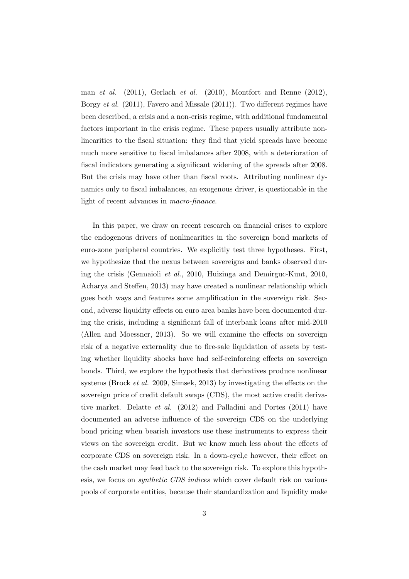man et al. (2011), Gerlach et al. (2010), Montfort and Renne (2012), Borgy et al. (2011), Favero and Missale (2011)). Two different regimes have been described, a crisis and a non-crisis regime, with additional fundamental factors important in the crisis regime. These papers usually attribute nonlinearities to the fiscal situation: they find that yield spreads have become much more sensitive to fiscal imbalances after 2008, with a deterioration of fiscal indicators generating a significant widening of the spreads after 2008. But the crisis may have other than fiscal roots. Attributing nonlinear dynamics only to fiscal imbalances, an exogenous driver, is questionable in the light of recent advances in macro-finance.

In this paper, we draw on recent research on financial crises to explore the endogenous drivers of nonlinearities in the sovereign bond markets of euro-zone peripheral countries. We explicitly test three hypotheses. First, we hypothesize that the nexus between sovereigns and banks observed during the crisis (Gennaioli et al., 2010, Huizinga and Demirguc-Kunt, 2010, Acharya and Steffen, 2013) may have created a nonlinear relationship which goes both ways and features some amplification in the sovereign risk. Second, adverse liquidity effects on euro area banks have been documented during the crisis, including a significant fall of interbank loans after mid-2010 (Allen and Moessner, 2013). So we will examine the effects on sovereign risk of a negative externality due to fire-sale liquidation of assets by testing whether liquidity shocks have had self-reinforcing effects on sovereign bonds. Third, we explore the hypothesis that derivatives produce nonlinear systems (Brock et al. 2009, Simsek, 2013) by investigating the effects on the sovereign price of credit default swaps (CDS), the most active credit derivative market. Delatte et al. (2012) and Palladini and Portes (2011) have documented an adverse influence of the sovereign CDS on the underlying bond pricing when bearish investors use these instruments to express their views on the sovereign credit. But we know much less about the effects of corporate CDS on sovereign risk. In a down-cycl,e however, their effect on the cash market may feed back to the sovereign risk. To explore this hypothesis, we focus on synthetic CDS indices which cover default risk on various pools of corporate entities, because their standardization and liquidity make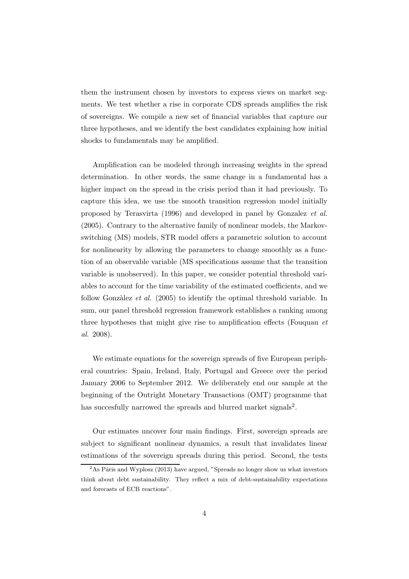them the instrument chosen by investors to express views on market segments. We test whether a rise in corporate CDS spreads amplifies the risk of sovereigns. We compile a new set of financial variables that capture our three hypotheses, and we identify the best candidates explaining how initial shocks to fundamentals may be amplified.

Amplification can be modeled through increasing weights in the spread determination. In other words, the same change in a fundamental has a higher impact on the spread in the crisis period than it had previously. To capture this idea, we use the smooth transition regression model initially proposed by Terasvirta (1996) and developed in panel by Gonzalez et al. (2005). Contrary to the alternative family of nonlinear models, the Markovswitching (MS) models, STR model offers a parametric solution to account for nonlinearity by allowing the parameters to change smoothly as a function of an observable variable (MS specifications assume that the transition variable is unobserved). In this paper, we consider potential threshold variables to account for the time variability of the estimated coefficients, and we follow Gonzàlez *et al.* (2005) to identify the optimal threshold variable. In sum, our panel threshold regression framework establishes a ranking among three hypotheses that might give rise to amplification effects (Fouquau et al. 2008).

We estimate equations for the sovereign spreads of five European peripheral countries: Spain, Ireland, Italy, Portugal and Greece over the period January 2006 to September 2012. We deliberately end our sample at the beginning of the Outright Monetary Transactions (OMT) programme that has succesfully narrowed the spreads and blurred market signals<sup>2</sup>.

Our estimates uncover four main findings. First, sovereign spreads are subject to significant nonlinear dynamics, a result that invalidates linear estimations of the sovereign spreads during this period. Second, the tests

 $2^{2}$ As Pâris and Wyplosz (2013) have argued, "Spreads no longer show us what investors think about debt sustainability. They reflect a mix of debt-sustainability expectations and forecasts of ECB reactions".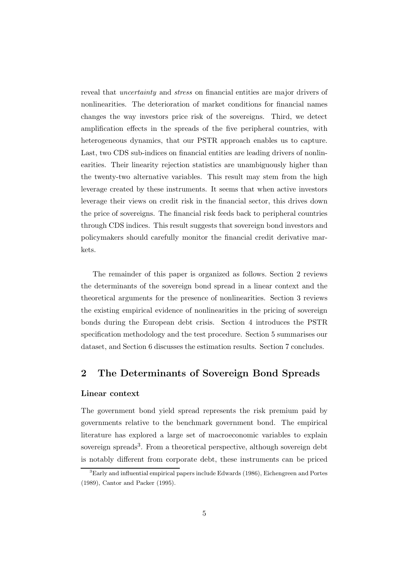reveal that uncertainty and stress on financial entities are major drivers of nonlinearities. The deterioration of market conditions for financial names changes the way investors price risk of the sovereigns. Third, we detect amplification effects in the spreads of the five peripheral countries, with heterogeneous dynamics, that our PSTR approach enables us to capture. Last, two CDS sub-indices on financial entities are leading drivers of nonlinearities. Their linearity rejection statistics are unambiguously higher than the twenty-two alternative variables. This result may stem from the high leverage created by these instruments. It seems that when active investors leverage their views on credit risk in the financial sector, this drives down the price of sovereigns. The financial risk feeds back to peripheral countries through CDS indices. This result suggests that sovereign bond investors and policymakers should carefully monitor the financial credit derivative markets.

The remainder of this paper is organized as follows. Section 2 reviews the determinants of the sovereign bond spread in a linear context and the theoretical arguments for the presence of nonlinearities. Section 3 reviews the existing empirical evidence of nonlinearities in the pricing of sovereign bonds during the European debt crisis. Section 4 introduces the PSTR specification methodology and the test procedure. Section 5 summarises our dataset, and Section 6 discusses the estimation results. Section 7 concludes.

## 2 The Determinants of Sovereign Bond Spreads

#### Linear context

The government bond yield spread represents the risk premium paid by governments relative to the benchmark government bond. The empirical literature has explored a large set of macroeconomic variables to explain sovereign spreads<sup>3</sup>. From a theoretical perspective, although sovereign debt is notably different from corporate debt, these instruments can be priced

<sup>3</sup>Early and influential empirical papers include Edwards (1986), Eichengreen and Portes (1989), Cantor and Packer (1995).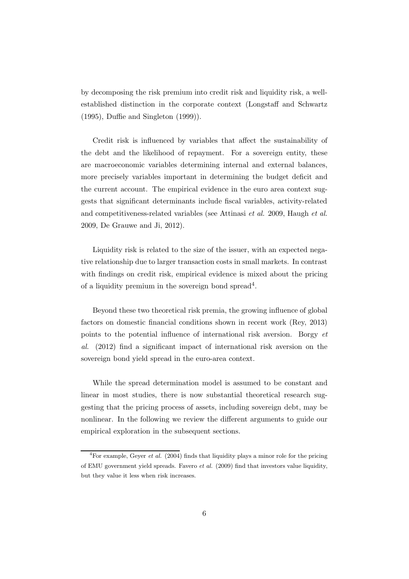by decomposing the risk premium into credit risk and liquidity risk, a wellestablished distinction in the corporate context (Longstaff and Schwartz (1995), Duffie and Singleton (1999)).

Credit risk is influenced by variables that affect the sustainability of the debt and the likelihood of repayment. For a sovereign entity, these are macroeconomic variables determining internal and external balances, more precisely variables important in determining the budget deficit and the current account. The empirical evidence in the euro area context suggests that significant determinants include fiscal variables, activity-related and competitiveness-related variables (see Attinasi et al. 2009, Haugh et al. 2009, De Grauwe and Ji, 2012).

Liquidity risk is related to the size of the issuer, with an expected negative relationship due to larger transaction costs in small markets. In contrast with findings on credit risk, empirical evidence is mixed about the pricing of a liquidity premium in the sovereign bond spread<sup>4</sup>.

Beyond these two theoretical risk premia, the growing influence of global factors on domestic financial conditions shown in recent work (Rey, 2013) points to the potential influence of international risk aversion. Borgy et al. (2012) find a significant impact of international risk aversion on the sovereign bond yield spread in the euro-area context.

While the spread determination model is assumed to be constant and linear in most studies, there is now substantial theoretical research suggesting that the pricing process of assets, including sovereign debt, may be nonlinear. In the following we review the different arguments to guide our empirical exploration in the subsequent sections.

<sup>&</sup>lt;sup>4</sup>For example, Geyer *et al.* (2004) finds that liquidity plays a minor role for the pricing of EMU government yield spreads. Favero et al. (2009) find that investors value liquidity, but they value it less when risk increases.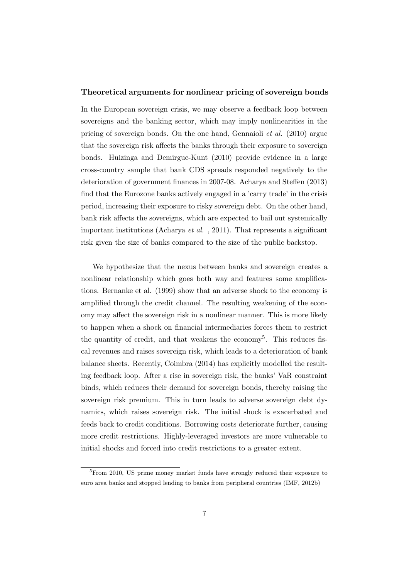#### Theoretical arguments for nonlinear pricing of sovereign bonds

In the European sovereign crisis, we may observe a feedback loop between sovereigns and the banking sector, which may imply nonlinearities in the pricing of sovereign bonds. On the one hand, Gennaioli et al. (2010) argue that the sovereign risk affects the banks through their exposure to sovereign bonds. Huizinga and Demirguc-Kunt (2010) provide evidence in a large cross-country sample that bank CDS spreads responded negatively to the deterioration of government finances in 2007-08. Acharya and Steffen (2013) find that the Eurozone banks actively engaged in a 'carry trade' in the crisis period, increasing their exposure to risky sovereign debt. On the other hand, bank risk affects the sovereigns, which are expected to bail out systemically important institutions (Acharya et al. , 2011). That represents a significant risk given the size of banks compared to the size of the public backstop.

We hypothesize that the nexus between banks and sovereign creates a nonlinear relationship which goes both way and features some amplifications. Bernanke et al. (1999) show that an adverse shock to the economy is amplified through the credit channel. The resulting weakening of the economy may affect the sovereign risk in a nonlinear manner. This is more likely to happen when a shock on financial intermediaries forces them to restrict the quantity of credit, and that weakens the economy<sup>5</sup>. This reduces fiscal revenues and raises sovereign risk, which leads to a deterioration of bank balance sheets. Recently, Coimbra (2014) has explicitly modelled the resulting feedback loop. After a rise in sovereign risk, the banks' VaR constraint binds, which reduces their demand for sovereign bonds, thereby raising the sovereign risk premium. This in turn leads to adverse sovereign debt dynamics, which raises sovereign risk. The initial shock is exacerbated and feeds back to credit conditions. Borrowing costs deteriorate further, causing more credit restrictions. Highly-leveraged investors are more vulnerable to initial shocks and forced into credit restrictions to a greater extent.

<sup>&</sup>lt;sup>5</sup>From 2010, US prime money market funds have strongly reduced their exposure to euro area banks and stopped lending to banks from peripheral countries (IMF, 2012b)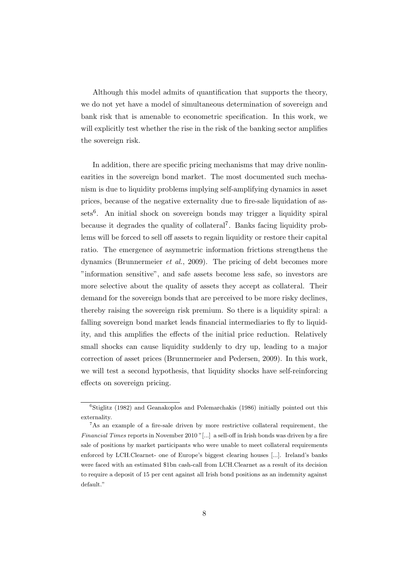Although this model admits of quantification that supports the theory, we do not yet have a model of simultaneous determination of sovereign and bank risk that is amenable to econometric specification. In this work, we will explicitly test whether the rise in the risk of the banking sector amplifies the sovereign risk.

In addition, there are specific pricing mechanisms that may drive nonlinearities in the sovereign bond market. The most documented such mechanism is due to liquidity problems implying self-amplifying dynamics in asset prices, because of the negative externality due to fire-sale liquidation of assets<sup>6</sup>. An initial shock on sovereign bonds may trigger a liquidity spiral because it degrades the quality of collateral<sup>7</sup>. Banks facing liquidity problems will be forced to sell off assets to regain liquidity or restore their capital ratio. The emergence of asymmetric information frictions strengthens the dynamics (Brunnermeier et al., 2009). The pricing of debt becomes more "information sensitive", and safe assets become less safe, so investors are more selective about the quality of assets they accept as collateral. Their demand for the sovereign bonds that are perceived to be more risky declines, thereby raising the sovereign risk premium. So there is a liquidity spiral: a falling sovereign bond market leads financial intermediaries to fly to liquidity, and this amplifies the effects of the initial price reduction. Relatively small shocks can cause liquidity suddenly to dry up, leading to a major correction of asset prices (Brunnermeier and Pedersen, 2009). In this work, we will test a second hypothesis, that liquidity shocks have self-reinforcing effects on sovereign pricing.

 ${}^{6}$ Stiglitz (1982) and Geanakoplos and Polemarchakis (1986) initially pointed out this externality.

<sup>7</sup>As an example of a fire-sale driven by more restrictive collateral requirement, the Financial Times reports in November 2010"[...] a sell-off in Irish bonds was driven by a fire sale of positions by market participants who were unable to meet collateral requirements enforced by LCH.Clearnet- one of Europe's biggest clearing houses [...]. Ireland's banks were faced with an estimated \$1bn cash-call from LCH.Clearnet as a result of its decision to require a deposit of 15 per cent against all Irish bond positions as an indemnity against default."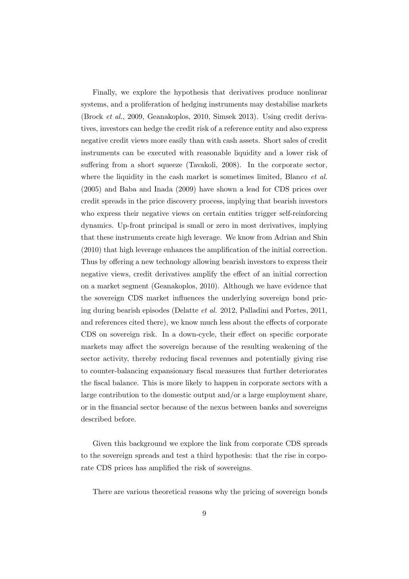Finally, we explore the hypothesis that derivatives produce nonlinear systems, and a proliferation of hedging instruments may destabilise markets (Brock et al., 2009, Geanakoplos, 2010, Simsek 2013). Using credit derivatives, investors can hedge the credit risk of a reference entity and also express negative credit views more easily than with cash assets. Short sales of credit instruments can be executed with reasonable liquidity and a lower risk of suffering from a short squeeze (Tavakoli, 2008). In the corporate sector, where the liquidity in the cash market is sometimes limited, Blanco *et al.* (2005) and Baba and Inada (2009) have shown a lead for CDS prices over credit spreads in the price discovery process, implying that bearish investors who express their negative views on certain entities trigger self-reinforcing dynamics. Up-front principal is small or zero in most derivatives, implying that these instruments create high leverage. We know from Adrian and Shin (2010) that high leverage enhances the amplification of the initial correction. Thus by offering a new technology allowing bearish investors to express their negative views, credit derivatives amplify the effect of an initial correction on a market segment (Geanakoplos, 2010). Although we have evidence that the sovereign CDS market influences the underlying sovereign bond pricing during bearish episodes (Delatte et al. 2012, Palladini and Portes, 2011, and references cited there), we know much less about the effects of corporate CDS on sovereign risk. In a down-cycle, their effect on specific corporate markets may affect the sovereign because of the resulting weakening of the sector activity, thereby reducing fiscal revenues and potentially giving rise to counter-balancing expansionary fiscal measures that further deteriorates the fiscal balance. This is more likely to happen in corporate sectors with a large contribution to the domestic output and/or a large employment share, or in the financial sector because of the nexus between banks and sovereigns described before.

Given this background we explore the link from corporate CDS spreads to the sovereign spreads and test a third hypothesis: that the rise in corporate CDS prices has amplified the risk of sovereigns.

There are various theoretical reasons why the pricing of sovereign bonds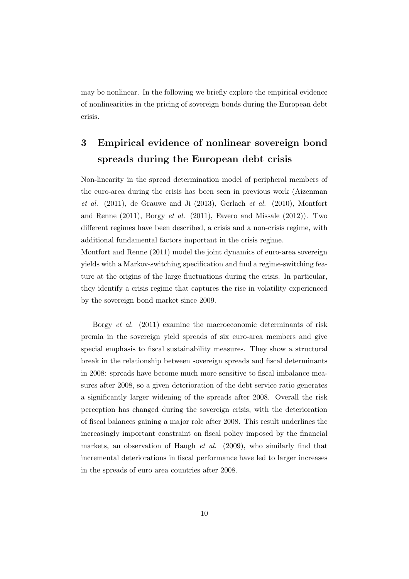may be nonlinear. In the following we briefly explore the empirical evidence of nonlinearities in the pricing of sovereign bonds during the European debt crisis.

# 3 Empirical evidence of nonlinear sovereign bond spreads during the European debt crisis

Non-linearity in the spread determination model of peripheral members of the euro-area during the crisis has been seen in previous work (Aizenman et al. (2011), de Grauwe and Ji (2013), Gerlach et al. (2010), Montfort and Renne (2011), Borgy et al. (2011), Favero and Missale (2012)). Two different regimes have been described, a crisis and a non-crisis regime, with additional fundamental factors important in the crisis regime.

Montfort and Renne (2011) model the joint dynamics of euro-area sovereign yields with a Markov-switching specification and find a regime-switching feature at the origins of the large fluctuations during the crisis. In particular, they identify a crisis regime that captures the rise in volatility experienced by the sovereign bond market since 2009.

Borgy et al. (2011) examine the macroeconomic determinants of risk premia in the sovereign yield spreads of six euro-area members and give special emphasis to fiscal sustainability measures. They show a structural break in the relationship between sovereign spreads and fiscal determinants in 2008: spreads have become much more sensitive to fiscal imbalance measures after 2008, so a given deterioration of the debt service ratio generates a significantly larger widening of the spreads after 2008. Overall the risk perception has changed during the sovereign crisis, with the deterioration of fiscal balances gaining a major role after 2008. This result underlines the increasingly important constraint on fiscal policy imposed by the financial markets, an observation of Haugh et al. (2009), who similarly find that incremental deteriorations in fiscal performance have led to larger increases in the spreads of euro area countries after 2008.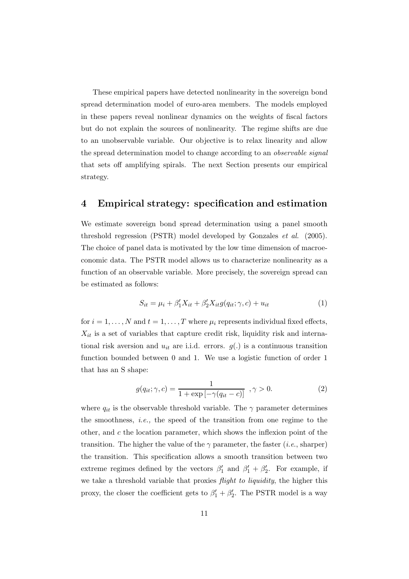These empirical papers have detected nonlinearity in the sovereign bond spread determination model of euro-area members. The models employed in these papers reveal nonlinear dynamics on the weights of fiscal factors but do not explain the sources of nonlinearity. The regime shifts are due to an unobservable variable. Our objective is to relax linearity and allow the spread determination model to change according to an observable signal that sets off amplifying spirals. The next Section presents our empirical strategy.

## 4 Empirical strategy: specification and estimation

We estimate sovereign bond spread determination using a panel smooth threshold regression (PSTR) model developed by Gonzales et al. (2005). The choice of panel data is motivated by the low time dimension of macroeconomic data. The PSTR model allows us to characterize nonlinearity as a function of an observable variable. More precisely, the sovereign spread can be estimated as follows:

$$
S_{it} = \mu_i + \beta_1' X_{it} + \beta_2' X_{it} g(q_{it}; \gamma, c) + u_{it}
$$
\n
$$
\tag{1}
$$

for  $i = 1, ..., N$  and  $t = 1, ..., T$  where  $\mu_i$  represents individual fixed effects,  $X_{it}$  is a set of variables that capture credit risk, liquidity risk and international risk aversion and  $u_{it}$  are i.i.d. errors.  $g(.)$  is a continuous transition function bounded between 0 and 1. We use a logistic function of order 1 that has an S shape:

$$
g(q_{it}; \gamma, c) = \frac{1}{1 + \exp\left[-\gamma(q_{it} - c)\right]} \quad , \gamma > 0. \tag{2}
$$

where  $q_{it}$  is the observable threshold variable. The  $\gamma$  parameter determines the smoothness, i.e., the speed of the transition from one regime to the other, and c the location parameter, which shows the inflexion point of the transition. The higher the value of the  $\gamma$  parameter, the faster (*i.e.*, sharper) the transition. This specification allows a smooth transition between two extreme regimes defined by the vectors  $\beta'_1$  and  $\beta'_1 + \beta'_2$ . For example, if we take a threshold variable that proxies *flight to liquidity*, the higher this proxy, the closer the coefficient gets to  $\beta'_1 + \beta'_2$ . The PSTR model is a way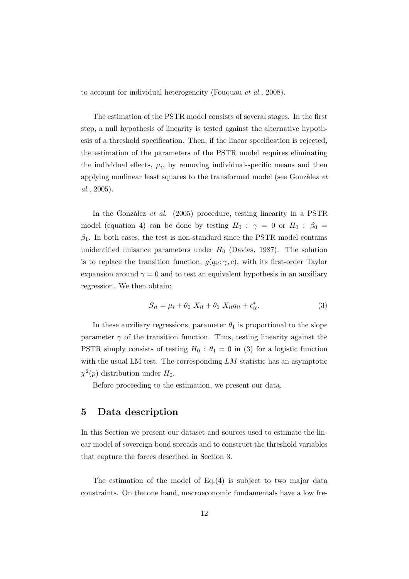to account for individual heterogeneity (Fouquau et al., 2008).

The estimation of the PSTR model consists of several stages. In the first step, a null hypothesis of linearity is tested against the alternative hypothesis of a threshold specification. Then, if the linear specification is rejected, the estimation of the parameters of the PSTR model requires eliminating the individual effects,  $\mu_i$ , by removing individual-specific means and then applying nonlinear least squares to the transformed model (see Gonzàlez  $et$ al., 2005).

In the Gonzàlez et al.  $(2005)$  procedure, testing linearity in a PSTR model (equation 4) can be done by testing  $H_0$ :  $\gamma = 0$  or  $H_0$ :  $\beta_0 =$  $\beta_1$ . In both cases, the test is non-standard since the PSTR model contains unidentified nuisance parameters under  $H_0$  (Davies, 1987). The solution is to replace the transition function,  $g(q_{it}; \gamma, c)$ , with its first-order Taylor expansion around  $\gamma = 0$  and to test an equivalent hypothesis in an auxiliary regression. We then obtain:

$$
S_{it} = \mu_i + \theta_0 X_{it} + \theta_1 X_{it} q_{it} + \epsilon_{it}^*.
$$
 (3)

In these auxiliary regressions, parameter  $\theta_1$  is proportional to the slope parameter  $\gamma$  of the transition function. Thus, testing linearity against the PSTR simply consists of testing  $H_0$ :  $\theta_1 = 0$  in (3) for a logistic function with the usual LM test. The corresponding  $LM$  statistic has an asymptotic  $\chi^2(p)$  distribution under  $H_0$ .

Before proceeding to the estimation, we present our data.

# 5 Data description

In this Section we present our dataset and sources used to estimate the linear model of sovereign bond spreads and to construct the threshold variables that capture the forces described in Section 3.

The estimation of the model of Eq.(4) is subject to two major data constraints. On the one hand, macroeconomic fundamentals have a low fre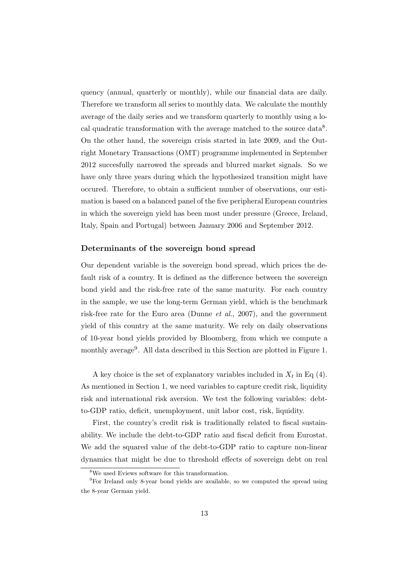quency (annual, quarterly or monthly), while our financial data are daily. Therefore we transform all series to monthly data. We calculate the monthly average of the daily series and we transform quarterly to monthly using a local quadratic transformation with the average matched to the source data<sup>8</sup>. On the other hand, the sovereign crisis started in late 2009, and the Outright Monetary Transactions (OMT) programme implemented in September 2012 succesfully narrowed the spreads and blurred market signals. So we have only three years during which the hypothesized transition might have occured. Therefore, to obtain a sufficient number of observations, our estimation is based on a balanced panel of the five peripheral European countries in which the sovereign yield has been most under pressure (Greece, Ireland, Italy, Spain and Portugal) between January 2006 and September 2012.

#### Determinants of the sovereign bond spread

Our dependent variable is the sovereign bond spread, which prices the default risk of a country. It is defined as the difference between the sovereign bond yield and the risk-free rate of the same maturity. For each country in the sample, we use the long-term German yield, which is the benchmark risk-free rate for the Euro area (Dunne et al., 2007), and the government yield of this country at the same maturity. We rely on daily observations of 10-year bond yields provided by Bloomberg, from which we compute a monthly average<sup>9</sup>. All data described in this Section are plotted in Figure 1.

A key choice is the set of explanatory variables included in  $X_t$  in Eq. (4). As mentioned in Section 1, we need variables to capture credit risk, liquidity risk and international risk aversion. We test the following variables: debtto-GDP ratio, deficit, unemployment, unit labor cost, risk, liquidity.

First, the country's credit risk is traditionally related to fiscal sustainability. We include the debt-to-GDP ratio and fiscal deficit from Eurostat. We add the squared value of the debt-to-GDP ratio to capture non-linear dynamics that might be due to threshold effects of sovereign debt on real

<sup>8</sup>We used Eviews software for this transformation.

<sup>9</sup>For Ireland only 8-year bond yields are available, so we computed the spread using the 8-year German yield.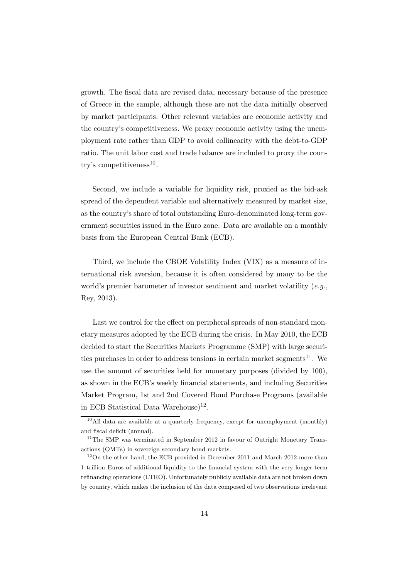growth. The fiscal data are revised data, necessary because of the presence of Greece in the sample, although these are not the data initially observed by market participants. Other relevant variables are economic activity and the country's competitiveness. We proxy economic activity using the unemployment rate rather than GDP to avoid collinearity with the debt-to-GDP ratio. The unit labor cost and trade balance are included to proxy the country's competitiveness<sup>10</sup>.

Second, we include a variable for liquidity risk, proxied as the bid-ask spread of the dependent variable and alternatively measured by market size, as the country's share of total outstanding Euro-denominated long-term government securities issued in the Euro zone. Data are available on a monthly basis from the European Central Bank (ECB).

Third, we include the CBOE Volatility Index (VIX) as a measure of international risk aversion, because it is often considered by many to be the world's premier barometer of investor sentiment and market volatility  $(e.g.,$ Rey, 2013).

Last we control for the effect on peripheral spreads of non-standard monetary measures adopted by the ECB during the crisis. In May 2010, the ECB decided to start the Securities Markets Programme (SMP) with large securities purchases in order to address tensions in certain market segments $^{11}$ . We use the amount of securities held for monetary purposes (divided by 100), as shown in the ECB's weekly financial statements, and including Securities Market Program, 1st and 2nd Covered Bond Purchase Programs (available in ECB Statistical Data Warehouse $)^{12}$ .

<sup>10</sup>All data are available at a quarterly frequency, except for unemployment (monthly) and fiscal deficit (annual).

 $11$ The SMP was terminated in September 2012 in favour of Outright Monetary Transactions (OMTs) in sovereign secondary bond markets.

<sup>12</sup>On the other hand, the ECB provided in December 2011 and March 2012 more than 1 trillion Euros of additional liquidity to the financial system with the very longer-term refinancing operations (LTRO). Unfortunately publicly available data are not broken down by country, which makes the inclusion of the data composed of two observations irrelevant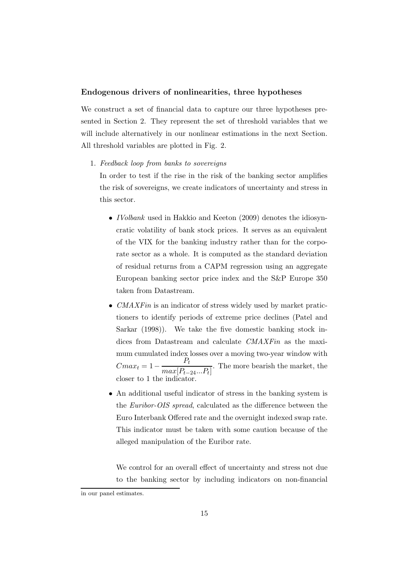#### Endogenous drivers of nonlinearities, three hypotheses

We construct a set of financial data to capture our three hypotheses presented in Section 2. They represent the set of threshold variables that we will include alternatively in our nonlinear estimations in the next Section. All threshold variables are plotted in Fig. 2.

1. Feedback loop from banks to sovereigns

In order to test if the rise in the risk of the banking sector amplifies the risk of sovereigns, we create indicators of uncertainty and stress in this sector.

- *IVolbank* used in Hakkio and Keeton (2009) denotes the idiosyncratic volatility of bank stock prices. It serves as an equivalent of the VIX for the banking industry rather than for the corporate sector as a whole. It is computed as the standard deviation of residual returns from a CAPM regression using an aggregate European banking sector price index and the S&P Europe 350 taken from Datastream.
- *CMAXFin* is an indicator of stress widely used by market pratictioners to identify periods of extreme price declines (Patel and Sarkar (1998)). We take the five domestic banking stock indices from Datastream and calculate CMAXFin as the maximum cumulated index losses over a moving two-year window with  $Cmax_t = 1 - \frac{P_t}{P_t}$  $\frac{1}{max[P_{t-24}...P_t]}$ . The more bearish the market, the closer to 1 the indicator.
- An additional useful indicator of stress in the banking system is the Euribor-OIS spread, calculated as the difference between the Euro Interbank Offered rate and the overnight indexed swap rate. This indicator must be taken with some caution because of the alleged manipulation of the Euribor rate.

We control for an overall effect of uncertainty and stress not due to the banking sector by including indicators on non-financial

in our panel estimates.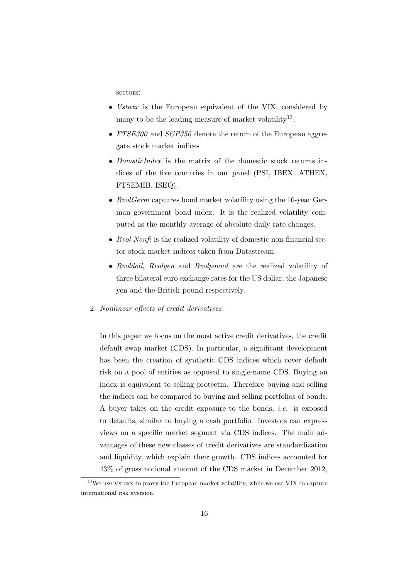sectors:

- *Vstoxx* is the European equivalent of the VIX, considered by many to be the leading measure of market volatility<sup>13</sup>.
- $FTSE300$  and  $S\&P350$  denote the return of the European aggregate stock market indices
- DomsticIndex is the matrix of the domestic stock returns indices of the five countries in our panel (PSI, IBEX, ATHEX, FTSEMIB, ISEQ).
- RvolGerm captures bond market volatility using the 10-year German government bond index. It is the realized volatility computed as the monthly average of absolute daily rate changes.
- $Rvol$  Nonfi is the realized volatility of domestic non-financial sector stock market indices taken from Datastream.
- Rvoldoll, Rvolyen and Rvolpound are the realized volatility of three bilateral euro exchange rates for the US dollar, the Japanese yen and the British pound respectively.
- 2. Nonlinear effects of credit derivatives:

In this paper we focus on the most active credit derivatives, the credit default swap market (CDS). In particular, a significant development has been the creation of synthetic CDS indices which cover default risk on a pool of entities as opposed to single-name CDS. Buying an index is equivalent to selling protectin. Therefore buying and selling the indices can be compared to buying and selling portfolios of bonds. A buyer takes on the credit exposure to the bonds, i.e. is exposed to defaults, similar to buying a cash portfolio. Investors can express views on a specific market segment via CDS indices. The main advantages of these new classes of credit derivatives are standardization and liquidity, which explain their growth. CDS indices accounted for 43% of gross notional amount of the CDS market in December 2012,

<sup>&</sup>lt;sup>13</sup>We use Vstoxx to proxy the European market volatility, while we use VIX to capture international risk aversion.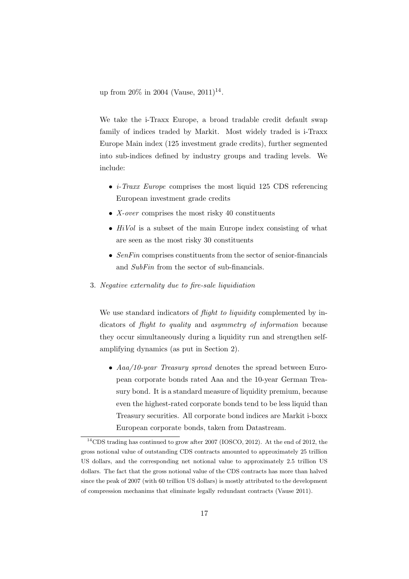up from  $20\%$  in 2004 (Vause,  $2011$ )<sup>14</sup>.

We take the i-Traxx Europe, a broad tradable credit default swap family of indices traded by Markit. Most widely traded is i-Traxx Europe Main index (125 investment grade credits), further segmented into sub-indices defined by industry groups and trading levels. We include:

- *i-Traxx Europe* comprises the most liquid 125 CDS referencing European investment grade credits
- $X$ -over comprises the most risky 40 constituents
- $HiVol$  is a subset of the main Europe index consisting of what are seen as the most risky 30 constituents
- $SenFin$  comprises constituents from the sector of senior-financials and SubFin from the sector of sub-financials.
- 3. Negative externality due to fire-sale liquidiation

We use standard indicators of *flight to liquidity* complemented by indicators of *flight to quality* and *asymmetry of information* because they occur simultaneously during a liquidity run and strengthen selfamplifying dynamics (as put in Section 2).

• Aaa/10-year Treasury spread denotes the spread between European corporate bonds rated Aaa and the 10-year German Treasury bond. It is a standard measure of liquidity premium, because even the highest-rated corporate bonds tend to be less liquid than Treasury securities. All corporate bond indices are Markit i-boxx European corporate bonds, taken from Datastream.

<sup>&</sup>lt;sup>14</sup>CDS trading has continued to grow after 2007 (IOSCO, 2012). At the end of 2012, the gross notional value of outstanding CDS contracts amounted to approximately 25 trillion US dollars, and the corresponding net notional value to approximately 2.5 trillion US dollars. The fact that the gross notional value of the CDS contracts has more than halved since the peak of 2007 (with 60 trillion US dollars) is mostly attributed to the development of compression mechanims that eliminate legally redundant contracts (Vause 2011).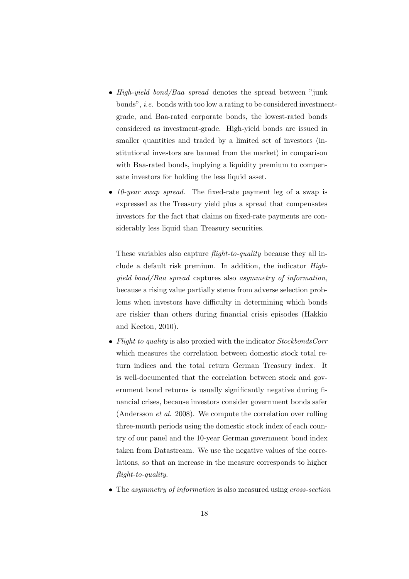- High-yield bond/Baa spread denotes the spread between "junk" bonds", i.e. bonds with too low a rating to be considered investmentgrade, and Baa-rated corporate bonds, the lowest-rated bonds considered as investment-grade. High-yield bonds are issued in smaller quantities and traded by a limited set of investors (institutional investors are banned from the market) in comparison with Baa-rated bonds, implying a liquidity premium to compensate investors for holding the less liquid asset.
- 10-year swap spread. The fixed-rate payment leg of a swap is expressed as the Treasury yield plus a spread that compensates investors for the fact that claims on fixed-rate payments are considerably less liquid than Treasury securities.

These variables also capture *flight-to-quality* because they all include a default risk premium. In addition, the indicator Highyield bond/Baa spread captures also asymmetry of information, because a rising value partially stems from adverse selection problems when investors have difficulty in determining which bonds are riskier than others during financial crisis episodes (Hakkio and Keeton, 2010).

- Flight to quality is also proxied with the indicator  $Stock bondsCorr$ which measures the correlation between domestic stock total return indices and the total return German Treasury index. It is well-documented that the correlation between stock and government bond returns is usually significantly negative during financial crises, because investors consider government bonds safer (Andersson et al. 2008). We compute the correlation over rolling three-month periods using the domestic stock index of each country of our panel and the 10-year German government bond index taken from Datastream. We use the negative values of the correlations, so that an increase in the measure corresponds to higher flight-to-quality.
- The *asymmetry of information* is also measured using *cross-section*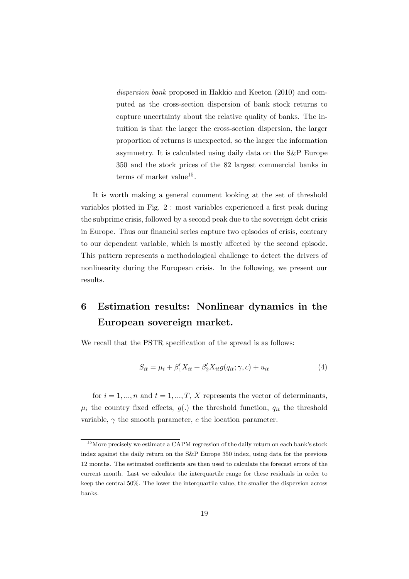dispersion bank proposed in Hakkio and Keeton (2010) and computed as the cross-section dispersion of bank stock returns to capture uncertainty about the relative quality of banks. The intuition is that the larger the cross-section dispersion, the larger proportion of returns is unexpected, so the larger the information asymmetry. It is calculated using daily data on the S&P Europe 350 and the stock prices of the 82 largest commercial banks in terms of market value<sup>15</sup>.

It is worth making a general comment looking at the set of threshold variables plotted in Fig. 2 : most variables experienced a first peak during the subprime crisis, followed by a second peak due to the sovereign debt crisis in Europe. Thus our financial series capture two episodes of crisis, contrary to our dependent variable, which is mostly affected by the second episode. This pattern represents a methodological challenge to detect the drivers of nonlinearity during the European crisis. In the following, we present our results.

# 6 Estimation results: Nonlinear dynamics in the European sovereign market.

We recall that the PSTR specification of the spread is as follows:

$$
S_{it} = \mu_i + \beta_1' X_{it} + \beta_2' X_{it} g(q_{it}; \gamma, c) + u_{it}
$$
 (4)

for  $i = 1, ..., n$  and  $t = 1, ..., T$ , X represents the vector of determinants,  $\mu_i$  the country fixed effects,  $g(.)$  the threshold function,  $q_{it}$  the threshold variable,  $\gamma$  the smooth parameter, c the location parameter.

<sup>&</sup>lt;sup>15</sup>More precisely we estimate a CAPM regression of the daily return on each bank's stock index against the daily return on the S&P Europe 350 index, using data for the previous 12 months. The estimated coefficients are then used to calculate the forecast errors of the current month. Last we calculate the interquartile range for these residuals in order to keep the central 50%. The lower the interquartile value, the smaller the dispersion across banks.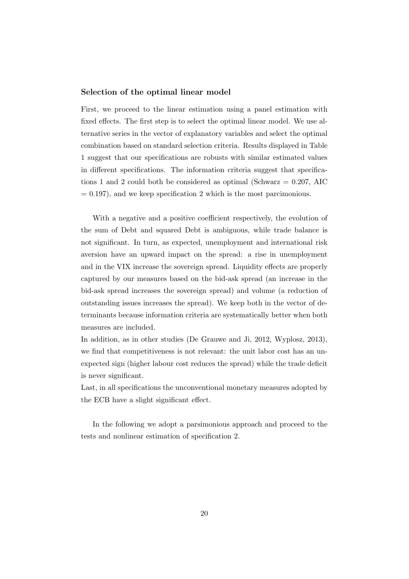#### Selection of the optimal linear model

First, we proceed to the linear estimation using a panel estimation with fixed effects. The first step is to select the optimal linear model. We use alternative series in the vector of explanatory variables and select the optimal combination based on standard selection criteria. Results displayed in Table 1 suggest that our specifications are robusts with similar estimated values in different specifications. The information criteria suggest that specifications 1 and 2 could both be considered as optimal (Schwarz = 0.207, AIC  $= 0.197$ , and we keep specification 2 which is the most parcimonious.

With a negative and a positive coefficient respectively, the evolution of the sum of Debt and squared Debt is ambiguous, while trade balance is not significant. In turn, as expected, unemployment and international risk aversion have an upward impact on the spread: a rise in unemployment and in the VIX increase the sovereign spread. Liquidity effects are properly captured by our measures based on the bid-ask spread (an increase in the bid-ask spread increases the sovereign spread) and volume (a reduction of outstanding issues increases the spread). We keep both in the vector of determinants because information criteria are systematically better when both measures are included.

In addition, as in other studies (De Grauwe and Ji, 2012, Wyplosz, 2013), we find that competitiveness is not relevant: the unit labor cost has an unexpected sign (higher labour cost reduces the spread) while the trade deficit is never significant.

Last, in all specifications the unconventional monetary measures adopted by the ECB have a slight significant effect.

In the following we adopt a parsimonious approach and proceed to the tests and nonlinear estimation of specification 2.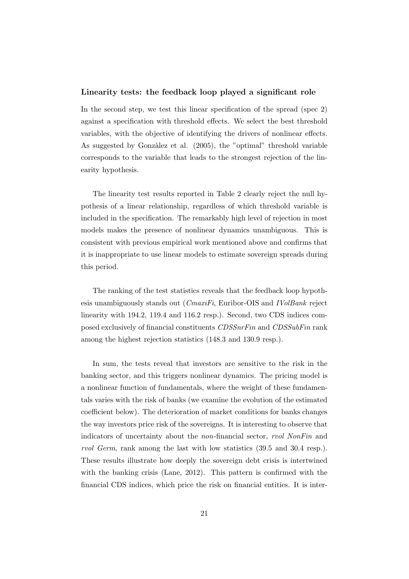#### Linearity tests: the feedback loop played a significant role

In the second step, we test this linear specification of the spread (spec 2) against a specification with threshold effects. We select the best threshold variables, with the objective of identifying the drivers of nonlinear effects. As suggested by Gonzàlez et al. (2005), the "optimal" threshold variable corresponds to the variable that leads to the strongest rejection of the linearity hypothesis.

The linearity test results reported in Table 2 clearly reject the null hypothesis of a linear relationship, regardless of which threshold variable is included in the specification. The remarkably high level of rejection in most models makes the presence of nonlinear dynamics unambiguous. This is consistent with previous empirical work mentioned above and confirms that it is inappropriate to use linear models to estimate sovereign spreads during this period.

The ranking of the test statistics reveals that the feedback loop hypothesis unambiguously stands out  $(CmariFi, Euribor-OIS and IVolBank$  reject linearity with 194.2, 119.4 and 116.2 resp.). Second, two CDS indices composed exclusively of financial constituents CDSSnrFin and CDSSubFin rank among the highest rejection statistics (148.3 and 130.9 resp.).

In sum, the tests reveal that investors are sensitive to the risk in the banking sector, and this triggers nonlinear dynamics. The pricing model is a nonlinear function of fundamentals, where the weight of these fundamentals varies with the risk of banks (we examine the evolution of the estimated coefficient below). The deterioration of market conditions for banks changes the way investors price risk of the sovereigns. It is interesting to observe that indicators of uncertainty about the non-financial sector, rvol NonFin and rvol Germ, rank among the last with low statistics (39.5 and 30.4 resp.). These results illustrate how deeply the sovereign debt crisis is intertwined with the banking crisis (Lane, 2012). This pattern is confirmed with the financial CDS indices, which price the risk on financial entities. It is inter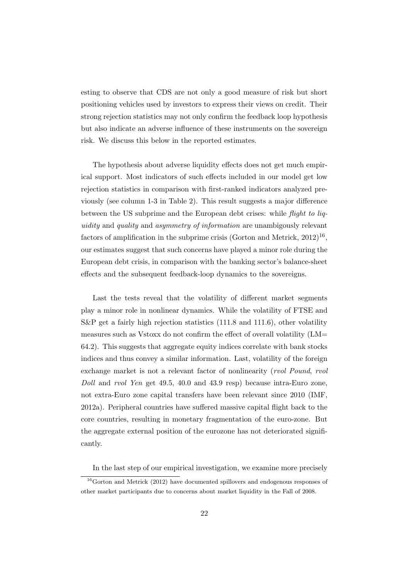esting to observe that CDS are not only a good measure of risk but short positioning vehicles used by investors to express their views on credit. Their strong rejection statistics may not only confirm the feedback loop hypothesis but also indicate an adverse influence of these instruments on the sovereign risk. We discuss this below in the reported estimates.

The hypothesis about adverse liquidity effects does not get much empirical support. Most indicators of such effects included in our model get low rejection statistics in comparison with first-ranked indicators analyzed previously (see column 1-3 in Table 2). This result suggests a major difference between the US subprime and the European debt crises: while *flight to liq*uidity and quality and asymmetry of information are unambigously relevant factors of amplification in the subprime crisis (Gorton and Metrick,  $2012$ )<sup>16</sup>, our estimates suggest that such concerns have played a minor role during the European debt crisis, in comparison with the banking sector's balance-sheet effects and the subsequent feedback-loop dynamics to the sovereigns.

Last the tests reveal that the volatility of different market segments play a minor role in nonlinear dynamics. While the volatility of FTSE and S&P get a fairly high rejection statistics (111.8 and 111.6), other volatility measures such as Vstoxx do not confirm the effect of overall volatility (LM= 64.2). This suggests that aggregate equity indices correlate with bank stocks indices and thus convey a similar information. Last, volatility of the foreign exchange market is not a relevant factor of nonlinearity (*rvol Pound, rvol* Doll and rvol Yen get 49.5, 40.0 and 43.9 resp) because intra-Euro zone, not extra-Euro zone capital transfers have been relevant since 2010 (IMF, 2012a). Peripheral countries have suffered massive capital flight back to the core countries, resulting in monetary fragmentation of the euro-zone. But the aggregate external position of the eurozone has not deteriorated significantly.

In the last step of our empirical investigation, we examine more precisely

 $16$ Gorton and Metrick (2012) have documented spillovers and endogenous responses of other market participants due to concerns about market liquidity in the Fall of 2008.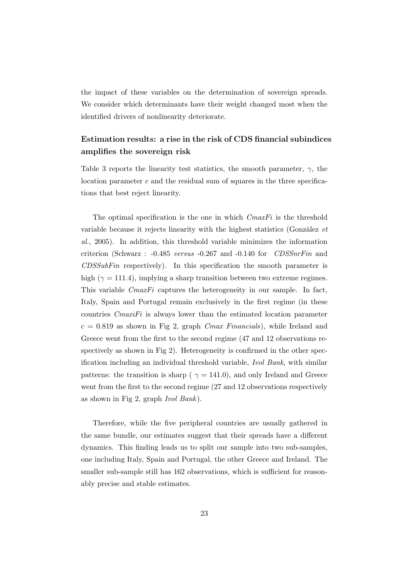the impact of these variables on the determination of sovereign spreads. We consider which determinants have their weight changed most when the identified drivers of nonlinearity deteriorate.

# Estimation results: a rise in the risk of CDS financial subindices amplifies the sovereign risk

Table 3 reports the linearity test statistics, the smooth parameter,  $\gamma$ , the location parameter  $c$  and the residual sum of squares in the three specifications that best reject linearity.

The optimal specification is the one in which  $CmaxFi$  is the threshold variable because it rejects linearity with the highest statistics (Gonzàlez  $et$ al., 2005). In addition, this threshold variable minimizes the information criterion (Schwarz :  $-0.485$  versus  $-0.267$  and  $-0.140$  for  $CDSSnF$ in and  $CDSSubFin$  respectively). In this specification the smooth parameter is high ( $\gamma = 111.4$ ), implying a sharp transition between two extreme regimes. This variable CmaxFi captures the heterogeneity in our sample. In fact, Italy, Spain and Portugal remain exclusively in the first regime (in these countries  $CmaxiFi$  is always lower than the estimated location parameter  $c = 0.819$  as shown in Fig 2, graph *Cmax Financials*), while Ireland and Greece went from the first to the second regime (47 and 12 observations respectively as shown in Fig 2). Heterogeneity is confirmed in the other specification including an individual threshold variable, Ivol Bank, with similar patterns: the transition is sharp ( $\gamma = 141.0$ ), and only Ireland and Greece went from the first to the second regime (27 and 12 observations respectively as shown in Fig 2, graph Ivol Bank).

Therefore, while the five peripheral countries are usually gathered in the same bundle, our estimates suggest that their spreads have a different dynamics. This finding leads us to split our sample into two sub-samples, one including Italy, Spain and Portugal, the other Greece and Ireland. The smaller sub-sample still has  $162$  observations, which is sufficient for reasonably precise and stable estimates.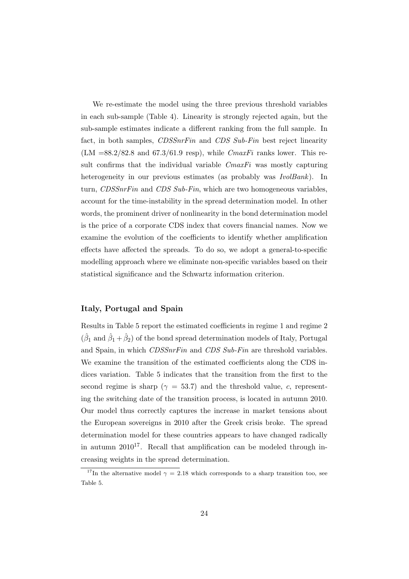We re-estimate the model using the three previous threshold variables in each sub-sample (Table 4). Linearity is strongly rejected again, but the sub-sample estimates indicate a different ranking from the full sample. In fact, in both samples, CDSSnrFin and CDS Sub-Fin best reject linearity  $(LM = 88.2/82.8$  and 67.3/61.9 resp), while *CmaxFi* ranks lower. This result confirms that the individual variable  $CmaxFi$  was mostly capturing heterogeneity in our previous estimates (as probably was *IvolBank*). In turn, CDSSnrFin and CDS Sub-Fin, which are two homogeneous variables, account for the time-instability in the spread determination model. In other words, the prominent driver of nonlinearity in the bond determination model is the price of a corporate CDS index that covers financial names. Now we examine the evolution of the coefficients to identify whether amplification effects have affected the spreads. To do so, we adopt a general-to-specific modelling approach where we eliminate non-specific variables based on their statistical significance and the Schwartz information criterion.

#### Italy, Portugal and Spain

Results in Table 5 report the estimated coefficients in regime 1 and regime 2  $(\hat{\beta}_1 \text{ and } \hat{\beta}_1 + \hat{\beta}_2)$  of the bond spread determination models of Italy, Portugal and Spain, in which CDSSnrFin and CDS Sub-Fin are threshold variables. We examine the transition of the estimated coefficients along the CDS indices variation. Table 5 indicates that the transition from the first to the second regime is sharp ( $\gamma = 53.7$ ) and the threshold value, c, representing the switching date of the transition process, is located in autumn 2010. Our model thus correctly captures the increase in market tensions about the European sovereigns in 2010 after the Greek crisis broke. The spread determination model for these countries appears to have changed radically in autumn  $2010^{17}$ . Recall that amplification can be modeled through increasing weights in the spread determination.

<sup>&</sup>lt;sup>17</sup>In the alternative model  $\gamma = 2.18$  which corresponds to a sharp transition too, see Table 5.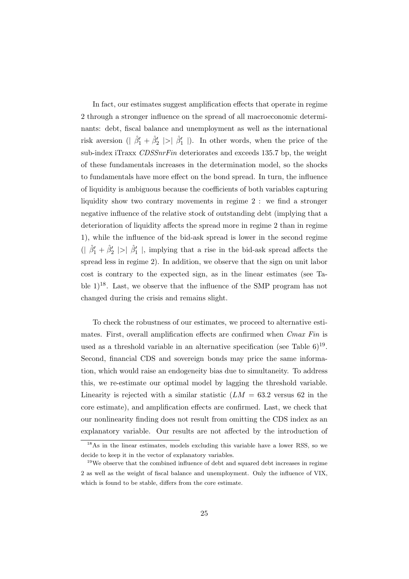In fact, our estimates suggest amplification effects that operate in regime 2 through a stronger influence on the spread of all macroeconomic determinants: debt, fiscal balance and unemployment as well as the international risk aversion ( $|\hat{\beta}'_1 + \hat{\beta}'_2| > |\hat{\beta}'_1|$ ). In other words, when the price of the sub-index iTraxx CDSSnrFin deteriorates and exceeds 135.7 bp, the weight of these fundamentals increases in the determination model, so the shocks to fundamentals have more effect on the bond spread. In turn, the influence of liquidity is ambiguous because the coefficients of both variables capturing liquidity show two contrary movements in regime 2 : we find a stronger negative influence of the relative stock of outstanding debt (implying that a deterioration of liquidity affects the spread more in regime 2 than in regime 1), while the influence of the bid-ask spread is lower in the second regime  $(| \hat{\beta}'_1 + \hat{\beta}'_2 | > | \hat{\beta}'_1 |$ , implying that a rise in the bid-ask spread affects the spread less in regime 2). In addition, we observe that the sign on unit labor cost is contrary to the expected sign, as in the linear estimates (see Table  $1$ <sup>18</sup>. Last, we observe that the influence of the SMP program has not changed during the crisis and remains slight.

To check the robustness of our estimates, we proceed to alternative estimates. First, overall amplification effects are confirmed when Cmax Fin is used as a threshold variable in an alternative specification (see Table  $6)^{19}$ . Second, financial CDS and sovereign bonds may price the same information, which would raise an endogeneity bias due to simultaneity. To address this, we re-estimate our optimal model by lagging the threshold variable. Linearity is rejected with a similar statistic  $(LM = 63.2 \text{ versus } 62 \text{ in the})$ core estimate), and amplification effects are confirmed. Last, we check that our nonlinearity finding does not result from omitting the CDS index as an explanatory variable. Our results are not affected by the introduction of

<sup>18</sup>As in the linear estimates, models excluding this variable have a lower RSS, so we decide to keep it in the vector of explanatory variables.

 $19\,\text{We observe that the combined influence of debt and squared debt increases in regime}$ 2 as well as the weight of fiscal balance and unemployment. Only the influence of VIX, which is found to be stable, differs from the core estimate.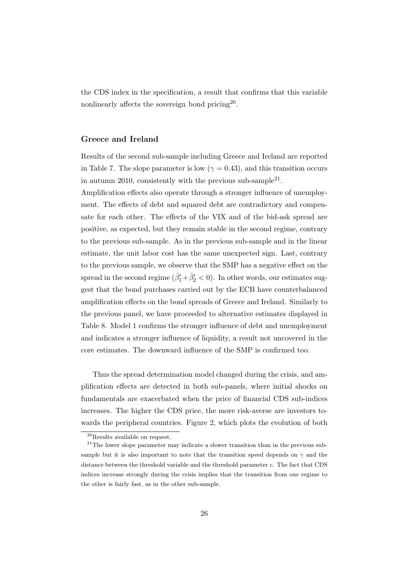the CDS index in the specification, a result that confirms that this variable nonlinearly affects the sovereign bond pricing<sup>20</sup>.

#### Greece and Ireland

Results of the second sub-sample including Greece and Ireland are reported in Table 7. The slope parameter is low ( $\gamma = 0.43$ ), and this transition occurs in autumn 2010, consistently with the previous sub-sample<sup>21</sup>.

Amplification effects also operate through a stronger influence of unemployment. The effects of debt and squared debt are contradictory and compensate for each other. The effects of the VIX and of the bid-ask spread are positive, as expected, but they remain stable in the second regime, contrary to the previous sub-sample. As in the previous sub-sample and in the linear estimate, the unit labor cost has the same unexpected sign. Last, contrary to the previous sample, we observe that the SMP has a negative effect on the spread in the second regime  $(\hat{\beta}'_1 + \hat{\beta}'_2 < 0)$ . In other words, our estimates suggest that the bond purchases carried out by the ECB have counterbalanced amplification effects on the bond spreads of Greece and Ireland. Similarly to the previous panel, we have proceeded to alternative estimates displayed in Table 8. Model 1 confirms the stronger influence of debt and unemployment and indicates a stronger influence of liquidity, a result not uncovered in the core estimates. The downward influence of the SMP is confirmed too.

Thus the spread determination model changed during the crisis, and amplification effects are detected in both sub-panels, where initial shocks on fundamentals are exacerbated when the price of financial CDS sub-indices increases. The higher the CDS price, the more risk-averse are investors towards the peripheral countries. Figure 2, which plots the evolution of both

<sup>&</sup>lt;sup>20</sup>Results available on request.

<sup>&</sup>lt;sup>21</sup>The lower slope parameter may indicate a slower transition than in the previous subsample but it is also important to note that the transition speed depends on  $\gamma$  and the distance between the threshold variable and the threshold parameter c. The fact that CDS indices increase strongly during the crisis implies that the transition from one regime to the other is fairly fast, as in the other sub-sample.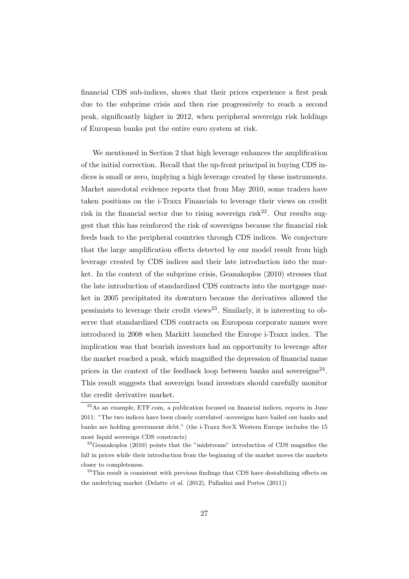financial CDS sub-indices, shows that their prices experience a first peak due to the subprime crisis and then rise progressively to reach a second peak, significantly higher in 2012, when peripheral sovereign risk holdings of European banks put the entire euro system at risk.

We mentioned in Section 2 that high leverage enhances the amplification of the initial correction. Recall that the up-front principal in buying CDS indices is small or zero, implying a high leverage created by these instruments. Market anecdotal evidence reports that from May 2010, some traders have taken positions on the i-Traxx Financials to leverage their views on credit risk in the financial sector due to rising sovereign risk<sup>22</sup>. Our results suggest that this has reinforced the risk of sovereigns because the financial risk feeds back to the peripheral countries through CDS indices. We conjecture that the large amplification effects detected by our model result from high leverage created by CDS indices and their late introduction into the market. In the context of the subprime crisis, Geanakoplos (2010) stresses that the late introduction of standardized CDS contracts into the mortgage market in 2005 precipitated its downturn because the derivatives allowed the pessimists to leverage their credit views<sup>23</sup>. Similarly, it is interesting to observe that standardized CDS contracts on European corporate names were introduced in 2008 when Markitt launched the Europe i-Traxx index. The implication was that bearish investors had an opportunity to leverage after the market reached a peak, which magnified the depression of financial name prices in the context of the feedback loop between banks and sovereigns<sup>24</sup>. This result suggests that sovereign bond investors should carefully monitor the credit derivative market.

 $^{22}$ As an example, ETF.com, a publication focused on financial indices, reports in June 2011: "The two indices have been closely correlated -sovereigns have bailed out banks and banks are holding government debt." (the i-Traxx SovX Western Europe includes the 15 most liquid sovereign CDS constracts)

<sup>&</sup>lt;sup>23</sup>Geanakoplos (2010) points that the "midstream" introduction of CDS magnifies the fall in prices while their introduction from the beginning of the market moves the markets closer to completeness.

 $^{24}$ This result is consistent with previous findings that CDS have destabilizing effects on the underlying market (Delatte et al. (2012), Palladini and Portes (2011))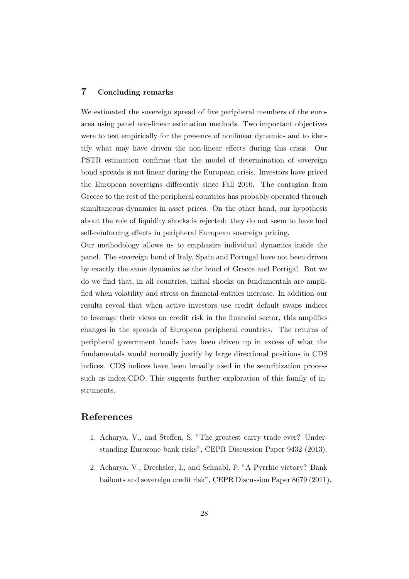### 7 Concluding remarks

We estimated the sovereign spread of five peripheral members of the euroarea using panel non-linear estimation methods. Two important objectives were to test empirically for the presence of nonlinear dynamics and to identify what may have driven the non-linear effects during this crisis. Our PSTR estimation confirms that the model of determination of sovereign bond spreads is not linear during the European crisis. Investors have priced the European sovereigns differently since Fall 2010. The contagion from Greece to the rest of the peripheral countries has probably operated through simultaneous dynamics in asset prices. On the other hand, our hypothesis about the role of liquidity shocks is rejected: they do not seem to have had self-reinforcing effects in peripheral European sovereign pricing.

Our methodology allows us to emphasize individual dynamics inside the panel. The sovereign bond of Italy, Spain and Portugal have not been driven by exactly the same dynamics as the bond of Grecce and Portigal. But we do we find that, in all countries, initial shocks on fundamentals are amplified when volatility and stress on financial entities increase. In addition our results reveal that when active investors use credit default swaps indices to leverage their views on credit risk in the financial sector, this amplifies changes in the spreads of European peripheral countries. The returns of peripheral government bonds have been driven up in excess of what the fundamentals would normally justify by large directional positions in CDS indices. CDS indices have been broadly used in the securitization process such as index-CDO. This suggests further exploration of this family of instruments.

## References

- 1. Acharya, V., and Steffen, S. "The greatest carry trade ever? Understanding Eurozone bank risks", CEPR Discussion Paper 9432 (2013).
- 2. Acharya, V., Drechsler, I., and Schnabl, P. "A Pyrrhic victory? Bank bailouts and sovereign credit risk", CEPR Discussion Paper 8679 (2011).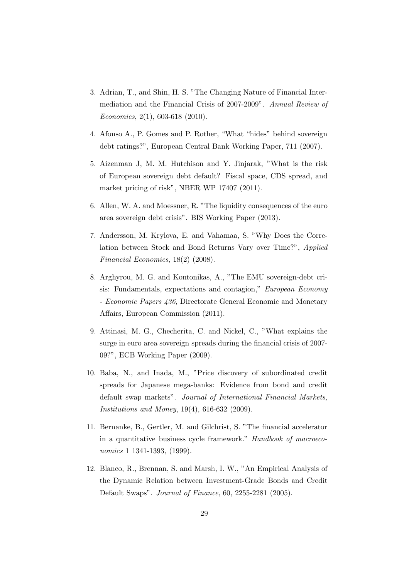- 3. Adrian, T., and Shin, H. S. "The Changing Nature of Financial Intermediation and the Financial Crisis of 2007-2009". Annual Review of Economics, 2(1), 603-618 (2010).
- 4. Afonso A., P. Gomes and P. Rother, "What "hides" behind sovereign debt ratings?", European Central Bank Working Paper, 711 (2007).
- 5. Aizenman J, M. M. Hutchison and Y. Jinjarak, "What is the risk of European sovereign debt default? Fiscal space, CDS spread, and market pricing of risk", NBER WP 17407 (2011).
- 6. Allen, W. A. and Moessner, R. "The liquidity consequences of the euro area sovereign debt crisis". BIS Working Paper (2013).
- 7. Andersson, M. Krylova, E. and Vahamaa, S. "Why Does the Correlation between Stock and Bond Returns Vary over Time?", Applied Financial Economics, 18(2) (2008).
- 8. Arghyrou, M. G. and Kontonikas, A., "The EMU sovereign-debt crisis: Fundamentals, expectations and contagion," European Economy - Economic Papers 436, Directorate General Economic and Monetary Affairs, European Commission (2011).
- 9. Attinasi, M. G., Checherita, C. and Nickel, C., "What explains the surge in euro area sovereign spreads during the financial crisis of 2007- 09?", ECB Working Paper (2009).
- 10. Baba, N., and Inada, M., "Price discovery of subordinated credit spreads for Japanese mega-banks: Evidence from bond and credit default swap markets". Journal of International Financial Markets, Institutions and Money, 19(4), 616-632 (2009).
- 11. Bernanke, B., Gertler, M. and Gilchrist, S. "The financial accelerator in a quantitative business cycle framework." Handbook of macroeconomics 1 1341-1393, (1999).
- 12. Blanco, R., Brennan, S. and Marsh, I. W., "An Empirical Analysis of the Dynamic Relation between Investment-Grade Bonds and Credit Default Swaps". Journal of Finance, 60, 2255-2281 (2005).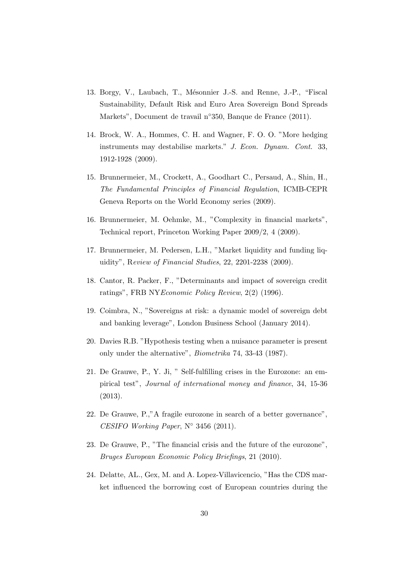- 13. Borgy, V., Laubach, T., Mésonnier J.-S. and Renne, J.-P., "Fiscal Sustainability, Default Risk and Euro Area Sovereign Bond Spreads Markets", Document de travail n◦350, Banque de France (2011).
- 14. Brock, W. A., Hommes, C. H. and Wagner, F. O. O. "More hedging instruments may destabilise markets." J. Econ. Dynam. Cont. 33, 1912-1928 (2009).
- 15. Brunnermeier, M., Crockett, A., Goodhart C., Persaud, A., Shin, H., The Fundamental Principles of Financial Regulation, ICMB-CEPR Geneva Reports on the World Economy series (2009).
- 16. Brunnermeier, M. Oehmke, M., "Complexity in financial markets", Technical report, Princeton Working Paper 2009/2, 4 (2009).
- 17. Brunnermeier, M. Pedersen, L.H., "Market liquidity and funding liquidity", Review of Financial Studies, 22, 2201-2238 (2009).
- 18. Cantor, R. Packer, F., "Determinants and impact of sovereign credit ratings", FRB NYEconomic Policy Review, 2(2) (1996).
- 19. Coimbra, N., "Sovereigns at risk: a dynamic model of sovereign debt and banking leverage", London Business School (January 2014).
- 20. Davies R.B. "Hypothesis testing when a nuisance parameter is present only under the alternative", Biometrika 74, 33-43 (1987).
- 21. De Grauwe, P., Y. Ji, " Self-fulfilling crises in the Eurozone: an empirical test", Journal of international money and finance, 34, 15-36 (2013).
- 22. De Grauwe, P.,"A fragile eurozone in search of a better governance", CESIFO Working Paper,  $N^{\circ}$  3456 (2011).
- 23. De Grauwe, P., "The financial crisis and the future of the eurozone", Bruges European Economic Policy Briefings, 21 (2010).
- 24. Delatte, AL., Gex, M. and A. Lopez-Villavicencio, "Has the CDS market influenced the borrowing cost of European countries during the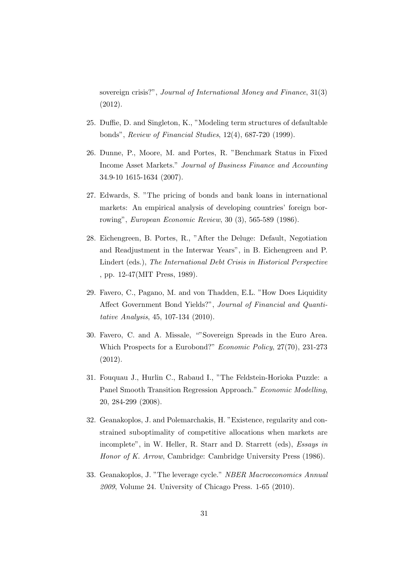sovereign crisis?", Journal of International Money and Finance, 31(3) (2012).

- 25. Duffie, D. and Singleton, K., "Modeling term structures of defaultable bonds", Review of Financial Studies, 12(4), 687-720 (1999).
- 26. Dunne, P., Moore, M. and Portes, R. "Benchmark Status in Fixed Income Asset Markets." Journal of Business Finance and Accounting 34.9-10 1615-1634 (2007).
- 27. Edwards, S. "The pricing of bonds and bank loans in international markets: An empirical analysis of developing countries' foreign borrowing", European Economic Review, 30 (3), 565-589 (1986).
- 28. Eichengreen, B. Portes, R., "After the Deluge: Default, Negotiation and Readjustment in the Interwar Years", in B. Eichengreen and P. Lindert (eds.), The International Debt Crisis in Historical Perspective , pp. 12-47(MIT Press, 1989).
- 29. Favero, C., Pagano, M. and von Thadden, E.L. "How Does Liquidity Affect Government Bond Yields?", Journal of Financial and Quantitative Analysis, 45, 107-134 (2010).
- 30. Favero, C. and A. Missale, ""Sovereign Spreads in the Euro Area. Which Prospects for a Eurobond?" Economic Policy, 27(70), 231-273 (2012).
- 31. Fouquau J., Hurlin C., Rabaud I., "The Feldstein-Horioka Puzzle: a Panel Smooth Transition Regression Approach." Economic Modelling, 20, 284-299 (2008).
- 32. Geanakoplos, J. and Polemarchakis, H. "Existence, regularity and constrained suboptimality of competitive allocations when markets are incomplete", in W. Heller, R. Starr and D. Starrett (eds), Essays in Honor of K. Arrow, Cambridge: Cambridge University Press (1986).
- 33. Geanakoplos, J. "The leverage cycle." NBER Macroeconomics Annual 2009, Volume 24. University of Chicago Press. 1-65 (2010).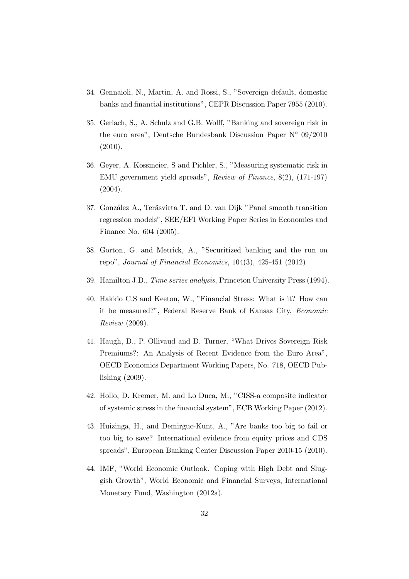- 34. Gennaioli, N., Martin, A. and Rossi, S., "Sovereign default, domestic banks and financial institutions", CEPR Discussion Paper 7955 (2010).
- 35. Gerlach, S., A. Schulz and G.B. Wolff, "Banking and sovereign risk in the euro area", Deutsche Bundesbank Discussion Paper N◦ 09/2010 (2010).
- 36. Geyer, A. Kossmeier, S and Pichler, S., "Measuring systematic risk in EMU government yield spreads", Review of Finance, 8(2), (171-197) (2004).
- 37. González A., Teräsvirta T. and D. van Dijk "Panel smooth transition regression models", SEE/EFI Working Paper Series in Economics and Finance No. 604 (2005).
- 38. Gorton, G. and Metrick, A., "Securitized banking and the run on repo", Journal of Financial Economics, 104(3), 425-451 (2012)
- 39. Hamilton J.D., Time series analysis, Princeton University Press (1994).
- 40. Hakkio C.S and Keeton, W., "Financial Stress: What is it? How can it be measured?", Federal Reserve Bank of Kansas City, Economic Review (2009).
- 41. Haugh, D., P. Ollivaud and D. Turner, "What Drives Sovereign Risk Premiums?: An Analysis of Recent Evidence from the Euro Area", OECD Economics Department Working Papers, No. 718, OECD Publishing (2009).
- 42. Hollo, D. Kremer, M. and Lo Duca, M., "CISS-a composite indicator of systemic stress in the financial system", ECB Working Paper (2012).
- 43. Huizinga, H., and Demirguc-Kunt, A., "Are banks too big to fail or too big to save? International evidence from equity prices and CDS spreads", European Banking Center Discussion Paper 2010-15 (2010).
- 44. IMF, "World Economic Outlook. Coping with High Debt and Sluggish Growth", World Economic and Financial Surveys, International Monetary Fund, Washington (2012a).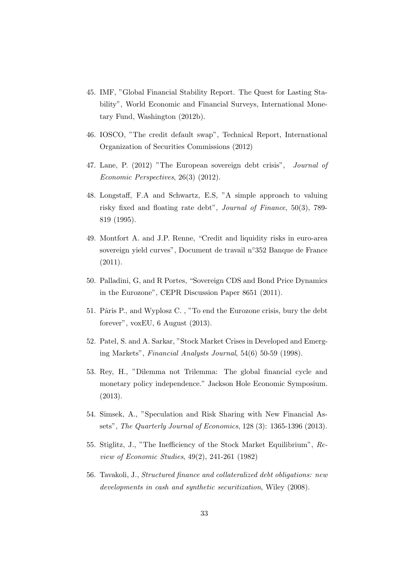- 45. IMF, "Global Financial Stability Report. The Quest for Lasting Stability", World Economic and Financial Surveys, International Monetary Fund, Washington (2012b).
- 46. IOSCO, "The credit default swap", Technical Report, International Organization of Securities Commissions (2012)
- 47. Lane, P. (2012) "The European sovereign debt crisis", Journal of Economic Perspectives, 26(3) (2012).
- 48. Longstaff, F.A and Schwartz, E.S, "A simple approach to valuing risky fixed and floating rate debt", Journal of Finance, 50(3), 789- 819 (1995).
- 49. Montfort A. and J.P. Renne, "Credit and liquidity risks in euro-area sovereign yield curves", Document de travail n◦352 Banque de France (2011).
- 50. Palladini, G, and R Portes, "Sovereign CDS and Bond Price Dynamics in the Eurozone", CEPR Discussion Paper 8651 (2011).
- 51. Pâris P., and Wyplosz C., "To end the Eurozone crisis, bury the debt forever", voxEU, 6 August (2013).
- 52. Patel, S. and A. Sarkar, "Stock Market Crises in Developed and Emerging Markets", Financial Analysts Journal, 54(6) 50-59 (1998).
- 53. Rey, H., "Dilemma not Trilemma: The global financial cycle and monetary policy independence." Jackson Hole Economic Symposium. (2013).
- 54. Simsek, A., "Speculation and Risk Sharing with New Financial Assets", The Quarterly Journal of Economics, 128 (3): 1365-1396 (2013).
- 55. Stiglitz, J., "The Inefficiency of the Stock Market Equilibrium", Review of Economic Studies, 49(2), 241-261 (1982)
- 56. Tavakoli, J., Structured finance and collateralized debt obligations: new developments in cash and synthetic securitization, Wiley (2008).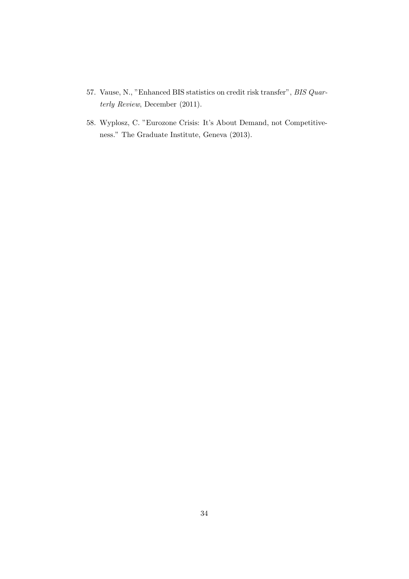- 57. Vause, N., "Enhanced BIS statistics on credit risk transfer", BIS Quarterly Review, December (2011).
- 58. Wyplosz, C. "Eurozone Crisis: It's About Demand, not Competitiveness." The Graduate Institute, Geneva (2013).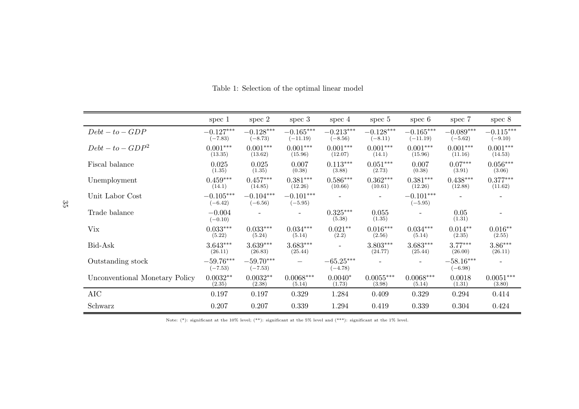|                                | spec 1                   | spec $2$                 | spec $3$                  | spec 4                   | spec $5$                 | spec 6                    | spec 7                   | spec 8                   |
|--------------------------------|--------------------------|--------------------------|---------------------------|--------------------------|--------------------------|---------------------------|--------------------------|--------------------------|
| $Debt - to - GDP$              | $-0.127***$<br>$(-7.83)$ | $-0.128***$<br>$(-8.73)$ | $-0.165***$<br>$(-11.19)$ | $-0.213***$<br>$(-8.56)$ | $-0.128***$<br>$(-8.11)$ | $-0.165***$<br>$(-11.19)$ | $-0.089***$<br>$(-5.62)$ | $-0.115***$<br>$(-9.10)$ |
| $Debt - to - GDP2$             | $0.001***$<br>(13.35)    | $0.001***$<br>(13.62)    | $0.001***$<br>(15.96)     | $0.001***$<br>(12.07)    | $0.001***$<br>(14.1)     | $0.001***$<br>(15.96)     | $0.001***$<br>(11.16)    | $0.001***$<br>(14.53)    |
| Fiscal balance                 | 0.025<br>(1.35)          | 0.025<br>(1.35)          | 0.007<br>(0.38)           | $0.113***$<br>(3.88)     | $0.051***$<br>(2.73)     | 0.007<br>(0.38)           | $0.07***$<br>(3.91)      | $0.056***$<br>(3.06)     |
| Unemployment                   | $0.459***$<br>(14.1)     | $0.457***$<br>(14.85)    | $0.381***$<br>(12.26)     | $0.586***$<br>(10.66)    | $0.362***$<br>(10.61)    | $0.381***$<br>(12.26)     | $0.438***$<br>(12.88)    | $0.377***$<br>(11.62)    |
| Unit Labor Cost                | $-0.105***$<br>$(-6.42)$ | $-0.104***$<br>$(-6.56)$ | $-0.101***$<br>$(-5.95)$  |                          |                          | $-0.101***$<br>$(-5.95)$  |                          |                          |
| Trade balance                  | $-0.004$<br>$(-0.10)$    |                          |                           | $0.325***$<br>(5.38)     | 0.055<br>(1.35)          | $\overline{\phantom{a}}$  | 0.05<br>(1.31)           |                          |
| Vix                            | $0.033***$<br>(5.22)     | $0.033***$<br>(5.24)     | $0.034***$<br>(5.14)      | $0.021**$<br>(2.2)       | $0.016***$<br>(2.56)     | $0.034***$<br>(5.14)      | $0.014**$<br>(2.35)      | $0.016**$<br>(2.55)      |
| Bid-Ask                        | $3.643***$<br>(26.11)    | $3.639***$<br>(26.83)    | $3.683***$<br>(25.44)     |                          | $3.803***$<br>(24.77)    | $3.683***$<br>(25.44)     | $3.77***$<br>(26.00)     | $3.86***$<br>(26.11)     |
| Outstanding stock              | $-59.76***$<br>$(-7.53)$ | $-59.70***$<br>$(-7.53)$ |                           | $-65.25***$<br>$(-4.78)$ |                          |                           | $-58.16***$<br>$(-6.98)$ |                          |
| Unconventional Monetary Policy | $0.0032**$<br>(2.35)     | $0.0032**$<br>(2.38)     | $0.0068***$<br>(5.14)     | $0.0040*$<br>(1.73)      | $0.0055***$<br>(3.98)    | $0.0068***$<br>(5.14)     | 0.0018<br>(1.31)         | $0.0051***$<br>(3.80)    |
| AIC                            | 0.197                    | 0.197                    | 0.329                     | 1.284                    | 0.409                    | 0.329                     | 0.294                    | 0.414                    |
| Schwarz                        | 0.207                    | 0.207                    | 0.339                     | 1.294                    | 0.419                    | 0.339                     | 0.304                    | 0.424                    |

Table 1: Selection of the optimal linear model

Note: (\*): significant at the 10% level; (\*\*): significant at the 5% level and (\*\*\*): significant at the 1% level.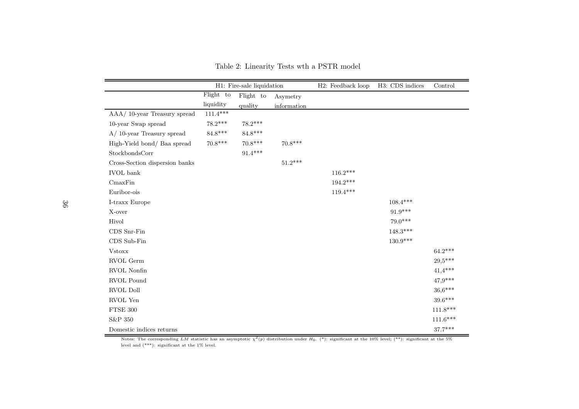Table 2: Linearity Tests wth <sup>a</sup> PSTR model

|                                | H1: Fire-sale liquidation |           |             | H2: Feedback loop | H3: CDS indices | Control                |
|--------------------------------|---------------------------|-----------|-------------|-------------------|-----------------|------------------------|
|                                | Flight to                 | Flight to | Asymetry    |                   |                 |                        |
|                                | liquidity                 | quality   | information |                   |                 |                        |
| AAA/ 10-year Treasury spread   | $111.4***$                |           |             |                   |                 |                        |
| 10-year Swap spread            | $78.2***$                 | $78.2***$ |             |                   |                 |                        |
| $A/10$ -year Treasury spread   | $84.8***$                 | 84.8***   |             |                   |                 |                        |
| High-Yield bond/ Baa spread    | $70.8***$                 | $70.8***$ | $70.8***$   |                   |                 |                        |
| StockbondsCorr                 |                           | $91.4***$ |             |                   |                 |                        |
| Cross-Section dispersion banks |                           |           | $51.2***$   |                   |                 |                        |
| <b>IVOL</b> bank               |                           |           |             | $116.2***$        |                 |                        |
| CmaxFin                        |                           |           |             | $194.2***$        |                 |                        |
| Euribor-ois                    |                           |           |             | $119.4***$        |                 |                        |
| I-traxx Europe                 |                           |           |             |                   | $108.4***$      |                        |
| X-over                         |                           |           |             |                   | 91.9***         |                        |
| Hivol                          |                           |           |             |                   | 79.0***         |                        |
| CDS Snr-Fin                    |                           |           |             |                   | $148.3***$      |                        |
| CDS Sub-Fin                    |                           |           |             |                   | $130.9***$      |                        |
| <b>V</b> stoxx                 |                           |           |             |                   |                 | $64.2***$              |
| RVOL Germ                      |                           |           |             |                   |                 | $29,5***$              |
| RVOL Nonfin                    |                           |           |             |                   |                 | $41,4***$              |
| RVOL Pound                     |                           |           |             |                   |                 | $47,9***$              |
| <b>RVOL Doll</b>               |                           |           |             |                   |                 | $36,6***$              |
| RVOL Yen                       |                           |           |             |                   |                 | $39.6***$              |
| $FTSE~300$                     |                           |           |             |                   |                 | $111.8***$             |
| S&P 350                        |                           |           |             |                   |                 | $111.6^{\ast\ast\ast}$ |
| Domestic indices returns       |                           |           |             |                   |                 | 37.7***                |

Notes: The corresponding LM statistic has an asymptotic  $\chi^2(p)$  distribution under H<sub>0</sub>. (\*): significant at the 10% level; (\*\*): significant at the 5% level and  $(\ast \ast \ast) \colon$  significant at the 1% level.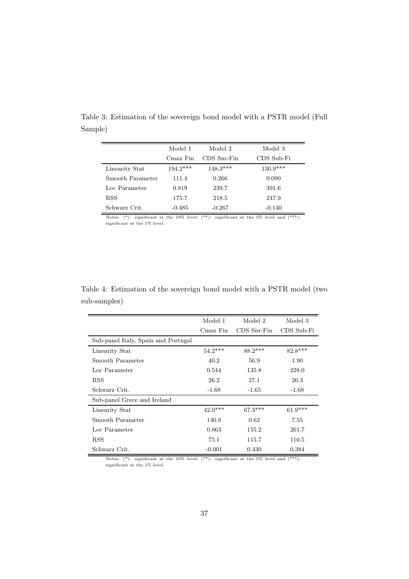|                  | Model 1    | Model 2     | Model 3    |
|------------------|------------|-------------|------------|
|                  | Cmax Fin   | CDS Snr-Fin | CDS Sub-Fi |
| Linearity Stat   | $194.2***$ | $148.3***$  | $130.9***$ |
| Smooth Parameter | 111.4      | 0.266       | 0.090      |
| Loc Parameter    | 0.819      | 239.7       | 391.6      |
| <b>RSS</b>       | 175.7      | 218.5       | 247.9      |
| Schwarz Crit.    | -0.485     | $-0.267$    | $-0.140$   |

Table 3: Estimation of the sovereign bond model with a PSTR model (Full Sample)

Notes: (\*): significant at the 10% level; (\*\*): significant at the 5% level and (\*\*\*): significant at the 1% level.

|              | Table 4: Estimation of the sovereign bond model with a PSTR model (two |  |  |  |  |  |
|--------------|------------------------------------------------------------------------|--|--|--|--|--|
| sub-samples) |                                                                        |  |  |  |  |  |

|                                     | Model 1   | Model 2     | Model 3    |
|-------------------------------------|-----------|-------------|------------|
|                                     | Cmax Fin  | CDS Snr-Fin | CDS Sub-Fi |
| Sub-panel Italy, Spain and Portugal |           |             |            |
| Linearity Stat                      | $54.2***$ | $88.2***$   | 82.8***    |
| Smooth Parameter                    | 40.2      | 56.9        | 1.90       |
| Loc Parameter                       | 0.544     | 135.8       | 228.0      |
| <b>RSS</b>                          | 26.2      | 27.1        | 26.3       |
| Schwarz Crit.                       | $-1.68$   | $-1.65$     | $-1.68$    |
| Sub-panel Grece and Ireland         |           |             |            |
| Linearity Stat                      | $42.0***$ | $67.3***$   | $61.9***$  |
| Smooth Parameter                    | 140.8     | 0.62        | 7.55       |
| Loc Parameter                       | 0.863     | 155.2       | 261.7      |
| RSS                                 | 75.1      | 115.7       | 110.5      |
| Schwarz Crit.                       | $-0.001$  | 0.430       | 0.384      |

Notes: (\*): significant at the 10% level; (\*\*): significant at the 5% level and (\*\*\*): significant at the 1% level.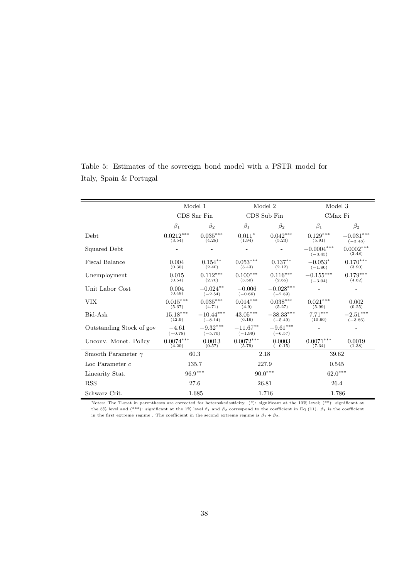|                           | Model 1                          |                           |                          | Model 2                  | Model 3                        |                          |
|---------------------------|----------------------------------|---------------------------|--------------------------|--------------------------|--------------------------------|--------------------------|
|                           | CDS Snr Fin                      |                           |                          | CDS Sub Fin              | CMax Fi                        |                          |
|                           | $\beta_1$                        | $\beta_2$                 | $\beta_1$                | $\beta_2$                | $\beta_1$                      | $\beta_2$                |
| <b>Debt</b>               | $0.0212***$<br>(3.54)            | $0.035^{***}\,$<br>(4.28) | $0.011*$<br>(1.94)       | $0.042***$<br>(5.23)     | $0.129***$<br>(5.91)           | $-0.031***$<br>$(-3.48)$ |
| Squared Debt              |                                  |                           |                          |                          | $-0.0004^{***}\,$<br>$(-3.45)$ | $0.0002***$<br>(3.48)    |
| Fiscal Balance            | 0.004<br>(0.30)                  | $0.154***$<br>(2.40)      | $0.053***$<br>(3.43)     | $0.137***$<br>(2.12)     | $-0.053*$<br>$(-1.80)$         | $0.170***$<br>(3.90)     |
| Unemployment              | 0.015<br>(0.54)                  | $0.112***$<br>(2.70)      | $0.100***$<br>(3.50)     | $0.116***$<br>(2.65)     | $-0.155***$<br>$(-3.04)$       | $0.179***$<br>(4.62)     |
| Unit Labor Cost           | 0.004<br>(0.48)                  | $-0.024**$<br>$(-2.54)$   | $-0.006$<br>$(-0.66)$    | $-0.028***$<br>$(-2.89)$ |                                |                          |
| <b>VIX</b>                | $0.015^{\ast\ast\ast}$<br>(5.67) | $0.035***$<br>(4.71)      | $0.014***$<br>(4.9)      | $0.038***$<br>(5.27)     | $0.021***$<br>(5.99)           | 0.002<br>(0.25)          |
| Bid-Ask                   | $15.18***$<br>(12.9)             | $-10.44***$<br>$(-8.14)$  | $43.05***$<br>(6.16)     | $-38.33***$<br>$(-5.49)$ | $7.71***$<br>(10.66)           | $-2.51***$<br>$(-3.86)$  |
| Outstanding Stock of gov  | $-4.61$<br>$(-0.78)$             | $-9.32***$<br>$(-5.70)$   | $-11.67***$<br>$(-1.99)$ | $-9.61***$<br>$(-6.57)$  |                                |                          |
| Unconv. Monet. Policy     | $0.0074***$<br>(4.20)            | 0.0013<br>(0.57)          | $0.0072***$<br>(5.79)    | 0.0003<br>$(-0.15)$      | $0.0071***$<br>(7.34)          | 0.0019<br>(1.38)         |
| Smooth Parameter $\gamma$ |                                  | 60.3                      | 2.18                     |                          | 39.62                          |                          |
| Loc Parameter $c$         | 135.7                            |                           | 227.9                    |                          | 0.545                          |                          |
| Linearity Stat.           | $96.9***$                        |                           | $90.0^{\ast\ast\ast}$    |                          | $62.0***$                      |                          |
| <b>RSS</b>                |                                  | 27.6                      | 26.81                    |                          | 26.4                           |                          |
| Schwarz Crit.             |                                  | $-1.685$                  |                          | $-1.716$<br>$-1.786$     |                                |                          |

Table 5: Estimates of the sovereign bond model with a PSTR model for Italy, Spain & Portugal

Notes: The T-stat in parentheses are corrected for heteroskedasticity. (\*): significant at the 10% level; (\*\*): significant at the 5% level and (\*\*\*): significant at the 1% level. $\beta_1$  and  $\beta_2$  correspond to the coefficient in Eq (11).  $\beta_1$  is the coefficient in the first extreme regime. The coefficient in the second extreme regime is  $\beta_1 + \beta_2$ .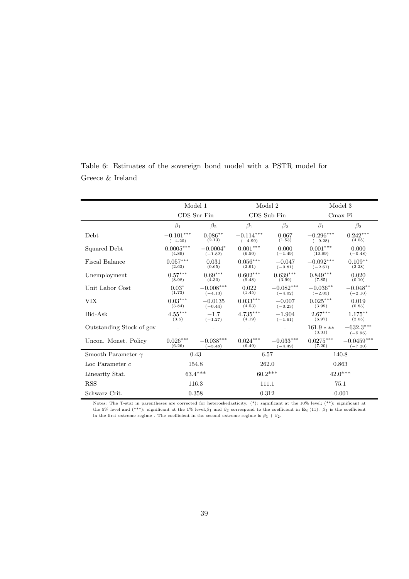|                           | Model 1                         |                               |                                  | Model 2                  | Model 3                   |                           |  |
|---------------------------|---------------------------------|-------------------------------|----------------------------------|--------------------------|---------------------------|---------------------------|--|
|                           | CDS Snr Fin                     |                               |                                  | CDS Sub Fin              | Cmax Fi                   |                           |  |
|                           | $\beta_1$                       | $\beta_2$                     | $\beta_1$                        | $\beta_2$                | $\beta_1$                 | $\beta_2$                 |  |
| Debt                      | $-0.101***$<br>$(-4.20)$        | $0.086^{\ast\ast}$<br>(2.13)  | $-0.114***$<br>$(-4.99)$         | 0.067<br>(1.53)          | $-0.296***$<br>$(-9.28)$  | $0.242***$<br>(4.05)      |  |
| Squared Debt              | $0.0005^{***}\,$<br>(4.89)      | $-0.0004*$<br>$(-1.82)$       | $0.001^{\ast\ast\ast}$<br>(6.50) | 0.000<br>$(-1.49)$       | $0.001***$<br>(10.89)     | 0.000<br>$(-0.48)$        |  |
| <b>Fiscal Balance</b>     | $0.057***$<br>(2.63)            | 0.031<br>(0.65)               | $0.056^{***}\,$<br>(2.91)        | $-0.047$<br>$(-0.81)$    | $-0.092***$<br>$(-2.61)$  | $0.109**$<br>(2.28)       |  |
| Unemployment              | $0.57^{\ast\ast\ast}$<br>(8.98) | $0.69***$<br>(4.30)           | $0.602***$<br>(9.48)             | $0.639***$<br>(3.99)     | $0.849***$<br>(7.85)      | 0.020<br>(0.10)           |  |
| Unit Labor Cost           | $0.03*$<br>(1.73)               | $-0.008^{***}\,$<br>$(-4.13)$ | 0.022<br>(1.45)                  | $-0.082***$<br>$(-4.02)$ | $-0.036**$<br>$(-2.05)$   | $-0.048**$<br>$(-2.10)$   |  |
| <b>VIX</b>                | $0.03***$<br>(3.84)             | $-0.0135$<br>$(-0.44)$        | $0.033***$<br>(4.53)             | $-0.007$<br>$(-0.23)$    | $0.025^{***}\,$<br>(3.99) | 0.019<br>(0.83)           |  |
| Bid-Ask                   | $4.55^{\ast\ast\ast}$<br>(3.5)  | $-1.7$<br>$(-1.27)$           | $4.735***$<br>(4.19)             | $-1.904$<br>$(-1.61)$    | $2.67***$<br>(6.97)       | $1.175***$<br>(2.05)      |  |
| Outstanding Stock of gov  |                                 |                               |                                  |                          | $161.9***$<br>(3.31)      | $-632.3***$<br>$(-5.96)$  |  |
| Uncon. Monet. Policy      | $0.026***$<br>(6.26)            | $-0.038***$<br>$(-5.48)$      | $0.024***$<br>(6.49)             | $-0.033***$<br>$(-4.49)$ | $0.0275***$<br>(7.20)     | $-0.0459***$<br>$(-7.20)$ |  |
| Smooth Parameter $\gamma$ | 0.43                            |                               | 6.57                             |                          | 140.8                     |                           |  |
| Loc Parameter $c$         | 154.8                           |                               | 262.0                            |                          | 0.863                     |                           |  |
| Linearity Stat.           | $63.4***$                       |                               | $60.2***$                        |                          | $42.0***$                 |                           |  |
| <b>RSS</b>                | 116.3                           |                               | 111.1                            |                          | 75.1                      |                           |  |
| Schwarz Crit.             | 0.358                           |                               | 0.312                            |                          | $-0.001$                  |                           |  |

Table 6: Estimates of the sovereign bond model with a PSTR model for Greece & Ireland

Notes: The T-stat in parentheses are corrected for heteroskedasticity. (\*): significant at the 10% level; (\*\*): significant at the 5% level and (\*\*\*): significant at the 1% level. $\beta_1$  and  $\beta_2$  correspond to the coefficient in Eq (11).  $\beta_1$  is the coefficient in the first extreme regime. The coefficient in the second extreme regime is  $\beta_1 + \beta_2$ .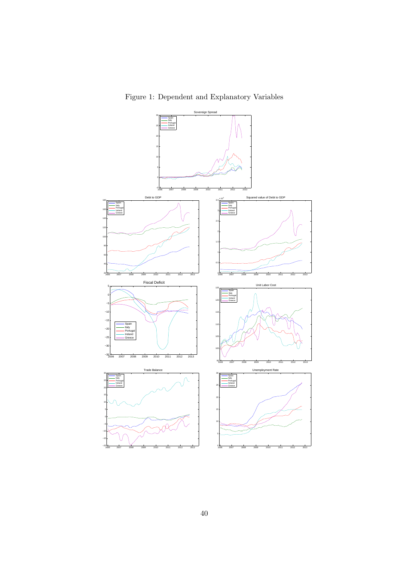

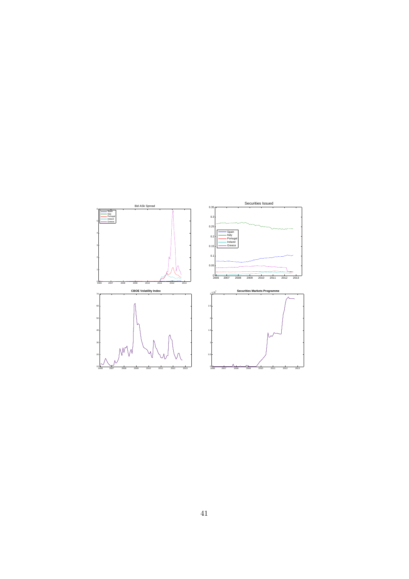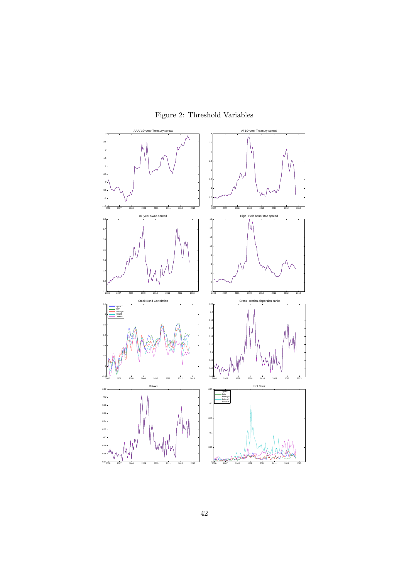

Figure 2: Threshold Variables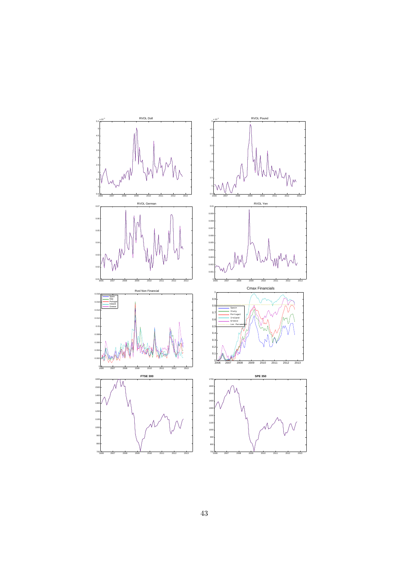